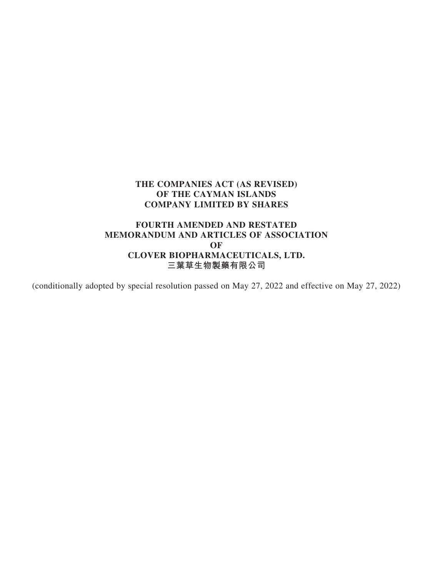# **FOURTH AMENDED AND RESTATED MEMORANDUM AND ARTICLES OF ASSOCIATION OF CLOVER BIOPHARMACEUTICALS, LTD. 三葉草生物製藥有限公司**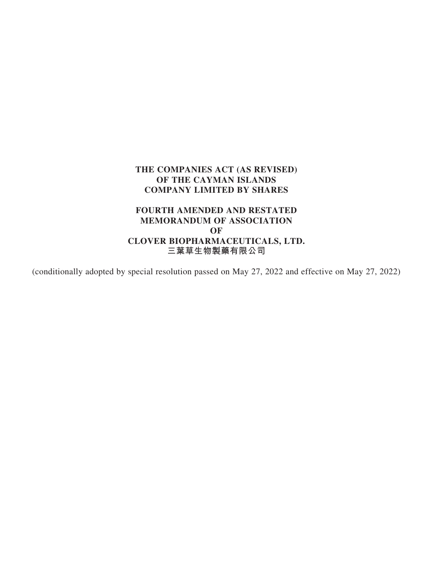# **FOURTH AMENDED AND RESTATED MEMORANDUM OF ASSOCIATION OF CLOVER BIOPHARMACEUTICALS, LTD. 三葉草生物製藥有限公司**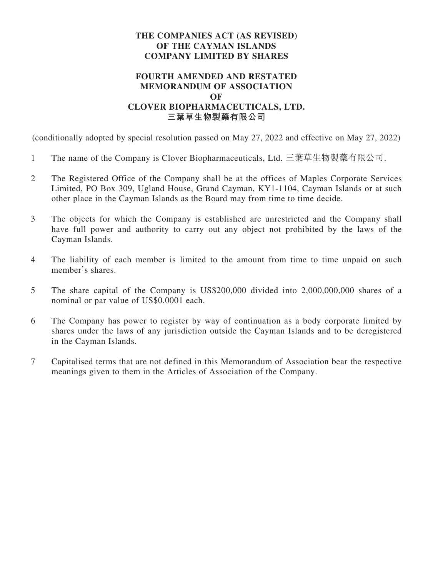# **FOURTH AMENDED AND RESTATED MEMORANDUM OF ASSOCIATION OF CLOVER BIOPHARMACEUTICALS, LTD. 三葉草生物製藥有限公司**

- 1 The name of the Company is Clover Biopharmaceuticals, Ltd. 三葉草生物製藥有限公司.
- 2 The Registered Office of the Company shall be at the offices of Maples Corporate Services Limited, PO Box 309, Ugland House, Grand Cayman, KY1-1104, Cayman Islands or at such other place in the Cayman Islands as the Board may from time to time decide.
- 3 The objects for which the Company is established are unrestricted and the Company shall have full power and authority to carry out any object not prohibited by the laws of the Cayman Islands.
- 4 The liability of each member is limited to the amount from time to time unpaid on such member's shares.
- 5 The share capital of the Company is US\$200,000 divided into 2,000,000,000 shares of a nominal or par value of US\$0.0001 each.
- 6 The Company has power to register by way of continuation as a body corporate limited by shares under the laws of any jurisdiction outside the Cayman Islands and to be deregistered in the Cayman Islands.
- 7 Capitalised terms that are not defined in this Memorandum of Association bear the respective meanings given to them in the Articles of Association of the Company.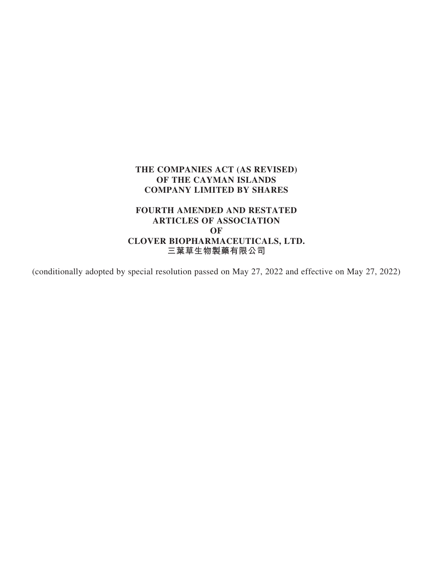# **FOURTH AMENDED AND RESTATED ARTICLES OF ASSOCIATION OF CLOVER BIOPHARMACEUTICALS, LTD. 三葉草生物製藥有限公司**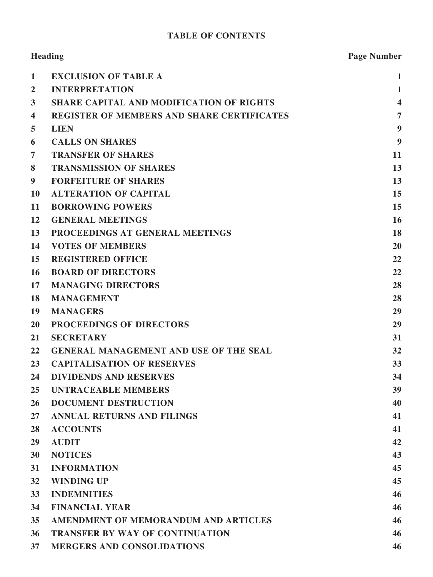# **TABLE OF CONTENTS**

| Heading          |                                                   | <b>Page Number</b>      |
|------------------|---------------------------------------------------|-------------------------|
| $\mathbf{1}$     | <b>EXCLUSION OF TABLE A</b>                       | $\mathbf 1$             |
| $\overline{2}$   | <b>INTERPRETATION</b>                             | $\mathbf{1}$            |
| 3                | <b>SHARE CAPITAL AND MODIFICATION OF RIGHTS</b>   | $\overline{\mathbf{4}}$ |
| 4                | <b>REGISTER OF MEMBERS AND SHARE CERTIFICATES</b> | $\overline{7}$          |
| 5                | <b>LIEN</b>                                       | 9                       |
| 6                | <b>CALLS ON SHARES</b>                            | 9                       |
| 7                | <b>TRANSFER OF SHARES</b>                         | 11                      |
| 8                | <b>TRANSMISSION OF SHARES</b>                     | 13                      |
| $\boldsymbol{9}$ | <b>FORFEITURE OF SHARES</b>                       | 13                      |
| 10               | <b>ALTERATION OF CAPITAL</b>                      | 15                      |
| 11               | <b>BORROWING POWERS</b>                           | 15                      |
| 12               | <b>GENERAL MEETINGS</b>                           | 16                      |
| 13               | PROCEEDINGS AT GENERAL MEETINGS                   | 18                      |
| 14               | <b>VOTES OF MEMBERS</b>                           | 20                      |
| 15               | <b>REGISTERED OFFICE</b>                          | 22                      |
| 16               | <b>BOARD OF DIRECTORS</b>                         | 22                      |
| 17               | <b>MANAGING DIRECTORS</b>                         | 28                      |
| 18               | <b>MANAGEMENT</b>                                 | 28                      |
| 19               | <b>MANAGERS</b>                                   | 29                      |
| <b>20</b>        | PROCEEDINGS OF DIRECTORS                          | 29                      |
| 21               | <b>SECRETARY</b>                                  | 31                      |
| 22               | <b>GENERAL MANAGEMENT AND USE OF THE SEAL</b>     | 32                      |
| 23               | <b>CAPITALISATION OF RESERVES</b>                 | 33                      |
| 24               | <b>DIVIDENDS AND RESERVES</b>                     | 34                      |
| 25               | <b>UNTRACEABLE MEMBERS</b>                        | 39                      |
| 26               | <b>DOCUMENT DESTRUCTION</b>                       | 40                      |
| $27\,$           | <b>ANNUAL RETURNS AND FILINGS</b>                 | 41                      |
| 28               | <b>ACCOUNTS</b>                                   | 41                      |
| 29               | <b>AUDIT</b>                                      | 42                      |
| 30               | <b>NOTICES</b>                                    | 43                      |
| 31               | <b>INFORMATION</b>                                | 45                      |
| 32               | <b>WINDING UP</b>                                 | 45                      |
| 33               | <b>INDEMNITIES</b>                                | 46                      |
| 34               | <b>FINANCIAL YEAR</b>                             | 46                      |
| 35               | AMENDMENT OF MEMORANDUM AND ARTICLES              | 46                      |
| 36               | <b>TRANSFER BY WAY OF CONTINUATION</b>            | 46                      |
| 37               | <b>MERGERS AND CONSOLIDATIONS</b>                 | 46                      |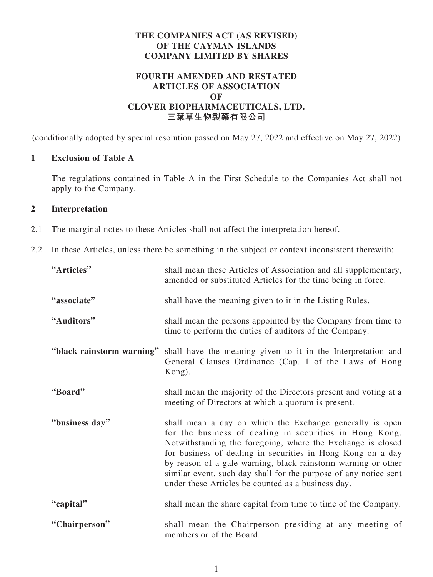# **FOURTH AMENDED AND RESTATED ARTICLES OF ASSOCIATION OF CLOVER BIOPHARMACEUTICALS, LTD. 三葉草生物製藥有限公司**

(conditionally adopted by special resolution passed on May 27, 2022 and effective on May 27, 2022)

# **1 Exclusion of Table A**

The regulations contained in Table A in the First Schedule to the Companies Act shall not apply to the Company.

# **2 Interpretation**

- 2.1 The marginal notes to these Articles shall not affect the interpretation hereof.
- 2.2 In these Articles, unless there be something in the subject or context inconsistent therewith:

| "Articles"                | shall mean these Articles of Association and all supplementary,<br>amended or substituted Articles for the time being in force.                                                                                                                                                                                                                                                                                                              |
|---------------------------|----------------------------------------------------------------------------------------------------------------------------------------------------------------------------------------------------------------------------------------------------------------------------------------------------------------------------------------------------------------------------------------------------------------------------------------------|
| "associate"               | shall have the meaning given to it in the Listing Rules.                                                                                                                                                                                                                                                                                                                                                                                     |
| "Auditors"                | shall mean the persons appointed by the Company from time to<br>time to perform the duties of auditors of the Company.                                                                                                                                                                                                                                                                                                                       |
| "black rainstorm warning" | shall have the meaning given to it in the Interpretation and<br>General Clauses Ordinance (Cap. 1 of the Laws of Hong<br>Kong).                                                                                                                                                                                                                                                                                                              |
| "Board"                   | shall mean the majority of the Directors present and voting at a<br>meeting of Directors at which a quorum is present.                                                                                                                                                                                                                                                                                                                       |
| "business day"            | shall mean a day on which the Exchange generally is open<br>for the business of dealing in securities in Hong Kong.<br>Notwithstanding the foregoing, where the Exchange is closed<br>for business of dealing in securities in Hong Kong on a day<br>by reason of a gale warning, black rainstorm warning or other<br>similar event, such day shall for the purpose of any notice sent<br>under these Articles be counted as a business day. |
| "capital"                 | shall mean the share capital from time to time of the Company.                                                                                                                                                                                                                                                                                                                                                                               |
| "Chairperson"             | shall mean the Chairperson presiding at any meeting of<br>members or of the Board.                                                                                                                                                                                                                                                                                                                                                           |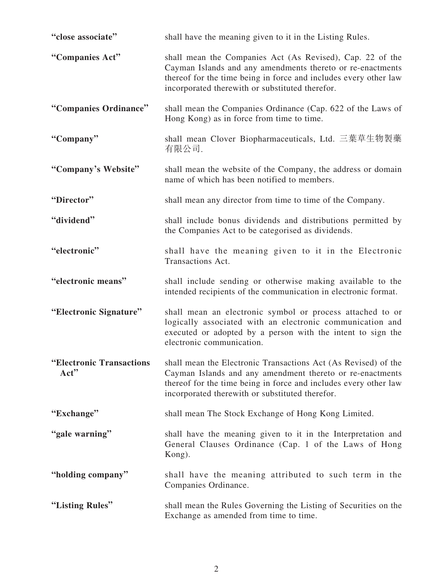| "close associate"                | shall have the meaning given to it in the Listing Rules.                                                                                                                                                                                           |
|----------------------------------|----------------------------------------------------------------------------------------------------------------------------------------------------------------------------------------------------------------------------------------------------|
| "Companies Act"                  | shall mean the Companies Act (As Revised), Cap. 22 of the<br>Cayman Islands and any amendments thereto or re-enactments<br>thereof for the time being in force and includes every other law<br>incorporated therewith or substituted therefor.     |
| "Companies Ordinance"            | shall mean the Companies Ordinance (Cap. 622 of the Laws of<br>Hong Kong) as in force from time to time.                                                                                                                                           |
| "Company"                        | shall mean Clover Biopharmaceuticals, Ltd. 三葉草生物製藥<br>有限公司.                                                                                                                                                                                        |
| "Company's Website"              | shall mean the website of the Company, the address or domain<br>name of which has been notified to members.                                                                                                                                        |
| "Director"                       | shall mean any director from time to time of the Company.                                                                                                                                                                                          |
| "dividend"                       | shall include bonus dividends and distributions permitted by<br>the Companies Act to be categorised as dividends.                                                                                                                                  |
| "electronic"                     | shall have the meaning given to it in the Electronic<br>Transactions Act.                                                                                                                                                                          |
| "electronic means"               | shall include sending or otherwise making available to the<br>intended recipients of the communication in electronic format.                                                                                                                       |
| "Electronic Signature"           | shall mean an electronic symbol or process attached to or<br>logically associated with an electronic communication and<br>executed or adopted by a person with the intent to sign the<br>electronic communication.                                 |
| "Electronic Transactions<br>Act" | shall mean the Electronic Transactions Act (As Revised) of the<br>Cayman Islands and any amendment thereto or re-enactments<br>thereof for the time being in force and includes every other law<br>incorporated therewith or substituted therefor. |
| "Exchange"                       | shall mean The Stock Exchange of Hong Kong Limited.                                                                                                                                                                                                |
| "gale warning"                   | shall have the meaning given to it in the Interpretation and<br>General Clauses Ordinance (Cap. 1 of the Laws of Hong<br>Kong).                                                                                                                    |
| "holding company"                | shall have the meaning attributed to such term in the<br>Companies Ordinance.                                                                                                                                                                      |
| "Listing Rules"                  | shall mean the Rules Governing the Listing of Securities on the<br>Exchange as amended from time to time.                                                                                                                                          |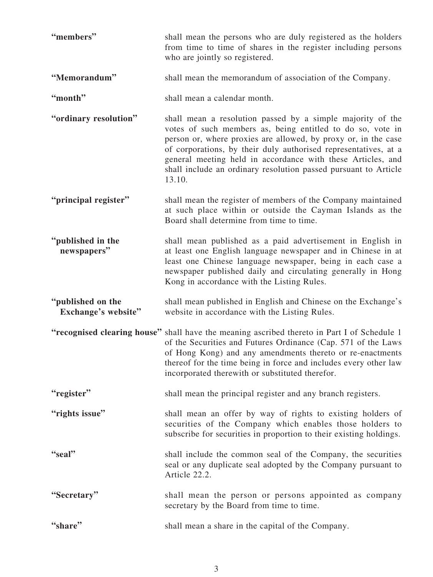| "members"                                | shall mean the persons who are duly registered as the holders<br>from time to time of shares in the register including persons<br>who are jointly so registered.                                                                                                                                                                                                                                          |
|------------------------------------------|-----------------------------------------------------------------------------------------------------------------------------------------------------------------------------------------------------------------------------------------------------------------------------------------------------------------------------------------------------------------------------------------------------------|
| "Memorandum"                             | shall mean the memorandum of association of the Company.                                                                                                                                                                                                                                                                                                                                                  |
| "month"                                  | shall mean a calendar month.                                                                                                                                                                                                                                                                                                                                                                              |
| "ordinary resolution"                    | shall mean a resolution passed by a simple majority of the<br>votes of such members as, being entitled to do so, vote in<br>person or, where proxies are allowed, by proxy or, in the case<br>of corporations, by their duly authorised representatives, at a<br>general meeting held in accordance with these Articles, and<br>shall include an ordinary resolution passed pursuant to Article<br>13.10. |
| "principal register"                     | shall mean the register of members of the Company maintained<br>at such place within or outside the Cayman Islands as the<br>Board shall determine from time to time.                                                                                                                                                                                                                                     |
| "published in the<br>newspapers"         | shall mean published as a paid advertisement in English in<br>at least one English language newspaper and in Chinese in at<br>least one Chinese language newspaper, being in each case a<br>newspaper published daily and circulating generally in Hong<br>Kong in accordance with the Listing Rules.                                                                                                     |
| "published on the<br>Exchange's website" | shall mean published in English and Chinese on the Exchange's<br>website in accordance with the Listing Rules.                                                                                                                                                                                                                                                                                            |
|                                          | "recognised clearing house" shall have the meaning ascribed thereto in Part I of Schedule 1<br>of the Securities and Futures Ordinance (Cap. 571 of the Laws<br>of Hong Kong) and any amendments thereto or re-enactments<br>thereof for the time being in force and includes every other law<br>incorporated therewith or substituted therefor.                                                          |
| "register"                               | shall mean the principal register and any branch registers.                                                                                                                                                                                                                                                                                                                                               |
| "rights issue"                           | shall mean an offer by way of rights to existing holders of<br>securities of the Company which enables those holders to<br>subscribe for securities in proportion to their existing holdings.                                                                                                                                                                                                             |
| "seal"                                   | shall include the common seal of the Company, the securities<br>seal or any duplicate seal adopted by the Company pursuant to<br>Article 22.2.                                                                                                                                                                                                                                                            |
| "Secretary"                              | shall mean the person or persons appointed as company<br>secretary by the Board from time to time.                                                                                                                                                                                                                                                                                                        |
| "share"                                  | shall mean a share in the capital of the Company.                                                                                                                                                                                                                                                                                                                                                         |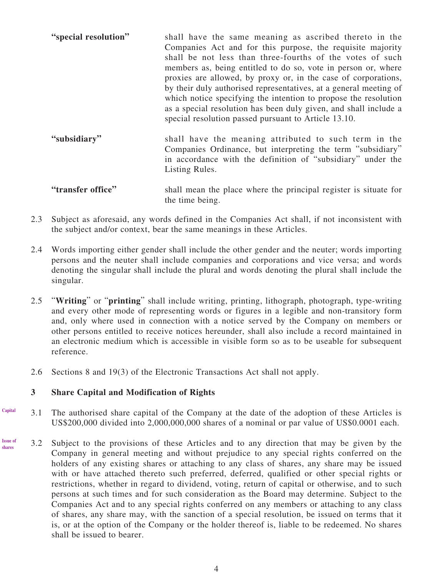- **"special resolution"** shall have the same meaning as ascribed thereto in the Companies Act and for this purpose, the requisite majority shall be not less than three-fourths of the votes of such members as, being entitled to do so, vote in person or, where proxies are allowed, by proxy or, in the case of corporations, by their duly authorised representatives, at a general meeting of which notice specifying the intention to propose the resolution as a special resolution has been duly given, and shall include a special resolution passed pursuant to Article 13.10.
- **"subsidiary"** shall have the meaning attributed to such term in the Companies Ordinance, but interpreting the term "subsidiary" in accordance with the definition of "subsidiary" under the Listing Rules.
- **"transfer office"** shall mean the place where the principal register is situate for the time being.
- 2.3 Subject as aforesaid, any words defined in the Companies Act shall, if not inconsistent with the subject and/or context, bear the same meanings in these Articles.
- 2.4 Words importing either gender shall include the other gender and the neuter; words importing persons and the neuter shall include companies and corporations and vice versa; and words denoting the singular shall include the plural and words denoting the plural shall include the singular.
- 2.5 "**Writing**" or "**printing**" shall include writing, printing, lithograph, photograph, type-writing and every other mode of representing words or figures in a legible and non-transitory form and, only where used in connection with a notice served by the Company on members or other persons entitled to receive notices hereunder, shall also include a record maintained in an electronic medium which is accessible in visible form so as to be useable for subsequent reference.
- 2.6 Sections 8 and 19(3) of the Electronic Transactions Act shall not apply.

# **3 Share Capital and Modification of Rights**

- 3.1 The authorised share capital of the Company at the date of the adoption of these Articles is US\$200,000 divided into 2,000,000,000 shares of a nominal or par value of US\$0.0001 each. **Capital**
- 3.2 Subject to the provisions of these Articles and to any direction that may be given by the Company in general meeting and without prejudice to any special rights conferred on the holders of any existing shares or attaching to any class of shares, any share may be issued with or have attached thereto such preferred, deferred, qualified or other special rights or restrictions, whether in regard to dividend, voting, return of capital or otherwise, and to such persons at such times and for such consideration as the Board may determine. Subject to the Companies Act and to any special rights conferred on any members or attaching to any class of shares, any share may, with the sanction of a special resolution, be issued on terms that it is, or at the option of the Company or the holder thereof is, liable to be redeemed. No shares shall be issued to bearer. **Issue of shares**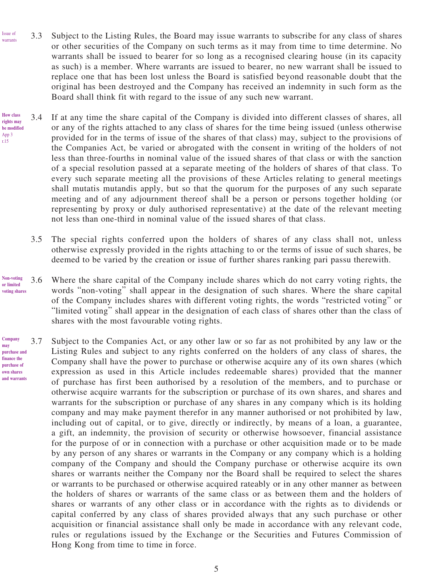- 3.3 Subject to the Listing Rules, the Board may issue warrants to subscribe for any class of shares or other securities of the Company on such terms as it may from time to time determine. No warrants shall be issued to bearer for so long as a recognised clearing house (in its capacity as such) is a member. Where warrants are issued to bearer, no new warrant shall be issued to replace one that has been lost unless the Board is satisfied beyond reasonable doubt that the original has been destroyed and the Company has received an indemnity in such form as the Board shall think fit with regard to the issue of any such new warrant. Issue of warrants
	- 3.4 If at any time the share capital of the Company is divided into different classes of shares, all or any of the rights attached to any class of shares for the time being issued (unless otherwise provided for in the terms of issue of the shares of that class) may, subject to the provisions of the Companies Act, be varied or abrogated with the consent in writing of the holders of not less than three-fourths in nominal value of the issued shares of that class or with the sanction of a special resolution passed at a separate meeting of the holders of shares of that class. To every such separate meeting all the provisions of these Articles relating to general meetings shall mutatis mutandis apply, but so that the quorum for the purposes of any such separate meeting and of any adjournment thereof shall be a person or persons together holding (or representing by proxy or duly authorised representative) at the date of the relevant meeting not less than one-third in nominal value of the issued shares of that class.
		- 3.5 The special rights conferred upon the holders of shares of any class shall not, unless otherwise expressly provided in the rights attaching to or the terms of issue of such shares, be deemed to be varied by the creation or issue of further shares ranking pari passu therewith.
- 3.6 Where the share capital of the Company include shares which do not carry voting rights, the words "non-voting" shall appear in the designation of such shares. Where the share capital of the Company includes shares with different voting rights, the words "restricted voting" or "limited voting" shall appear in the designation of each class of shares other than the class of shares with the most favourable voting rights. **voting shares**
- 3.7 Subject to the Companies Act, or any other law or so far as not prohibited by any law or the Listing Rules and subject to any rights conferred on the holders of any class of shares, the Company shall have the power to purchase or otherwise acquire any of its own shares (which expression as used in this Article includes redeemable shares) provided that the manner of purchase has first been authorised by a resolution of the members, and to purchase or otherwise acquire warrants for the subscription or purchase of its own shares, and shares and warrants for the subscription or purchase of any shares in any company which is its holding company and may make payment therefor in any manner authorised or not prohibited by law, including out of capital, or to give, directly or indirectly, by means of a loan, a guarantee, a gift, an indemnity, the provision of security or otherwise howsoever, financial assistance for the purpose of or in connection with a purchase or other acquisition made or to be made by any person of any shares or warrants in the Company or any company which is a holding company of the Company and should the Company purchase or otherwise acquire its own shares or warrants neither the Company nor the Board shall be required to select the shares or warrants to be purchased or otherwise acquired rateably or in any other manner as between the holders of shares or warrants of the same class or as between them and the holders of shares or warrants of any other class or in accordance with the rights as to dividends or capital conferred by any class of shares provided always that any such purchase or other acquisition or financial assistance shall only be made in accordance with any relevant code, rules or regulations issued by the Exchange or the Securities and Futures Commission of Hong Kong from time to time in force. **may purchase and and warrants**

**How class rights may be modified** App 3 r.15

**Non-voting or limited** 

**Company**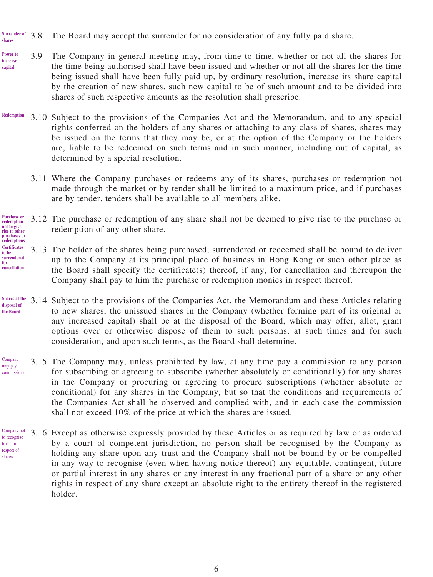- 3.8 The Board may accept the surrender for no consideration of any fully paid share. **Surrender of shares**
- 3.9 The Company in general meeting may, from time to time, whether or not all the shares for the time being authorised shall have been issued and whether or not all the shares for the time being issued shall have been fully paid up, by ordinary resolution, increase its share capital by the creation of new shares, such new capital to be of such amount and to be divided into shares of such respective amounts as the resolution shall prescribe. **Power to increase capital**
- 3.10 Subject to the provisions of the Companies Act and the Memorandum, and to any special rights conferred on the holders of any shares or attaching to any class of shares, shares may be issued on the terms that they may be, or at the option of the Company or the holders are, liable to be redeemed on such terms and in such manner, including out of capital, as determined by a special resolution. **Redemption**
	- 3.11 Where the Company purchases or redeems any of its shares, purchases or redemption not made through the market or by tender shall be limited to a maximum price, and if purchases are by tender, tenders shall be available to all members alike.
- 3.12 The purchase or redemption of any share shall not be deemed to give rise to the purchase or redemption of any other share. **Purchase or redemption not to give rise to other**

#### **purchases or redemptions Certificates to be surrendered for cancellation**

- 3.13 The holder of the shares being purchased, surrendered or redeemed shall be bound to deliver up to the Company at its principal place of business in Hong Kong or such other place as the Board shall specify the certificate(s) thereof, if any, for cancellation and thereupon the Company shall pay to him the purchase or redemption monies in respect thereof.
- 3.14 Subject to the provisions of the Companies Act, the Memorandum and these Articles relating to new shares, the unissued shares in the Company (whether forming part of its original or any increased capital) shall be at the disposal of the Board, which may offer, allot, grant options over or otherwise dispose of them to such persons, at such times and for such consideration, and upon such terms, as the Board shall determine. **Shares at the disposal of the Board**
- 3.15 The Company may, unless prohibited by law, at any time pay a commission to any person for subscribing or agreeing to subscribe (whether absolutely or conditionally) for any shares in the Company or procuring or agreeing to procure subscriptions (whether absolute or conditional) for any shares in the Company, but so that the conditions and requirements of the Companies Act shall be observed and complied with, and in each case the commission shall not exceed 10% of the price at which the shares are issued. Company may pay commissions
- 3.16 Except as otherwise expressly provided by these Articles or as required by law or as ordered by a court of competent jurisdiction, no person shall be recognised by the Company as holding any share upon any trust and the Company shall not be bound by or be compelled in any way to recognise (even when having notice thereof) any equitable, contingent, future or partial interest in any shares or any interest in any fractional part of a share or any other rights in respect of any share except an absolute right to the entirety thereof in the registered holder. Company not to recognise trusts in respect of shares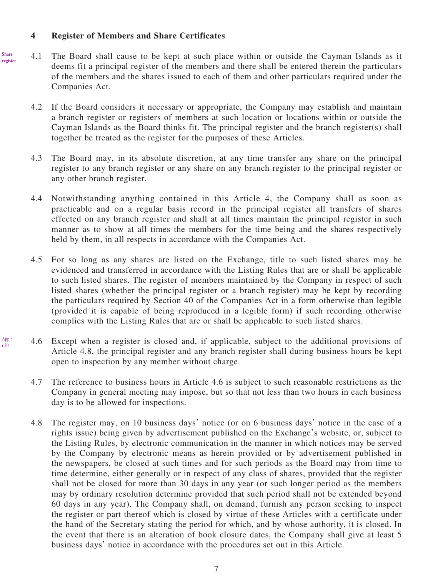### **4 Register of Members and Share Certificates**

App 3 r.20

- 4.1 The Board shall cause to be kept at such place within or outside the Cayman Islands as it deems fit a principal register of the members and there shall be entered therein the particulars of the members and the shares issued to each of them and other particulars required under the Companies Act. **Share register**
	- 4.2 If the Board considers it necessary or appropriate, the Company may establish and maintain a branch register or registers of members at such location or locations within or outside the Cayman Islands as the Board thinks fit. The principal register and the branch register(s) shall together be treated as the register for the purposes of these Articles.
	- 4.3 The Board may, in its absolute discretion, at any time transfer any share on the principal register to any branch register or any share on any branch register to the principal register or any other branch register.
	- 4.4 Notwithstanding anything contained in this Article 4, the Company shall as soon as practicable and on a regular basis record in the principal register all transfers of shares effected on any branch register and shall at all times maintain the principal register in such manner as to show at all times the members for the time being and the shares respectively held by them, in all respects in accordance with the Companies Act.
	- 4.5 For so long as any shares are listed on the Exchange, title to such listed shares may be evidenced and transferred in accordance with the Listing Rules that are or shall be applicable to such listed shares. The register of members maintained by the Company in respect of such listed shares (whether the principal register or a branch register) may be kept by recording the particulars required by Section 40 of the Companies Act in a form otherwise than legible (provided it is capable of being reproduced in a legible form) if such recording otherwise complies with the Listing Rules that are or shall be applicable to such listed shares.
	- 4.6 Except when a register is closed and, if applicable, subject to the additional provisions of Article 4.8, the principal register and any branch register shall during business hours be kept open to inspection by any member without charge.
		- 4.7 The reference to business hours in Article 4.6 is subject to such reasonable restrictions as the Company in general meeting may impose, but so that not less than two hours in each business day is to be allowed for inspections.
		- 4.8 The register may, on 10 business days' notice (or on 6 business days' notice in the case of a rights issue) being given by advertisement published on the Exchange's website, or, subject to the Listing Rules, by electronic communication in the manner in which notices may be served by the Company by electronic means as herein provided or by advertisement published in the newspapers, be closed at such times and for such periods as the Board may from time to time determine, either generally or in respect of any class of shares, provided that the register shall not be closed for more than 30 days in any year (or such longer period as the members may by ordinary resolution determine provided that such period shall not be extended beyond 60 days in any year). The Company shall, on demand, furnish any person seeking to inspect the register or part thereof which is closed by virtue of these Articles with a certificate under the hand of the Secretary stating the period for which, and by whose authority, it is closed. In the event that there is an alteration of book closure dates, the Company shall give at least 5 business days' notice in accordance with the procedures set out in this Article.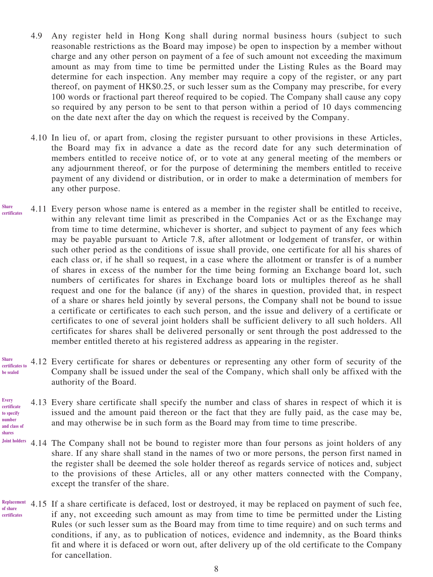- 4.9 Any register held in Hong Kong shall during normal business hours (subject to such reasonable restrictions as the Board may impose) be open to inspection by a member without charge and any other person on payment of a fee of such amount not exceeding the maximum amount as may from time to time be permitted under the Listing Rules as the Board may determine for each inspection. Any member may require a copy of the register, or any part thereof, on payment of HK\$0.25, or such lesser sum as the Company may prescribe, for every 100 words or fractional part thereof required to be copied. The Company shall cause any copy so required by any person to be sent to that person within a period of 10 days commencing on the date next after the day on which the request is received by the Company.
- 4.10 In lieu of, or apart from, closing the register pursuant to other provisions in these Articles, the Board may fix in advance a date as the record date for any such determination of members entitled to receive notice of, or to vote at any general meeting of the members or any adjournment thereof, or for the purpose of determining the members entitled to receive payment of any dividend or distribution, or in order to make a determination of members for any other purpose.
- 4.11 Every person whose name is entered as a member in the register shall be entitled to receive, within any relevant time limit as prescribed in the Companies Act or as the Exchange may from time to time determine, whichever is shorter, and subject to payment of any fees which may be payable pursuant to Article 7.8, after allotment or lodgement of transfer, or within such other period as the conditions of issue shall provide, one certificate for all his shares of each class or, if he shall so request, in a case where the allotment or transfer is of a number of shares in excess of the number for the time being forming an Exchange board lot, such numbers of certificates for shares in Exchange board lots or multiples thereof as he shall request and one for the balance (if any) of the shares in question, provided that, in respect of a share or shares held jointly by several persons, the Company shall not be bound to issue a certificate or certificates to each such person, and the issue and delivery of a certificate or certificates to one of several joint holders shall be sufficient delivery to all such holders. All certificates for shares shall be delivered personally or sent through the post addressed to the member entitled thereto at his registered address as appearing in the register. **Share certificates**
- 4.12 Every certificate for shares or debentures or representing any other form of security of the Company shall be issued under the seal of the Company, which shall only be affixed with the authority of the Board. **Share certificates to be sealed**
- 4.13 Every share certificate shall specify the number and class of shares in respect of which it is issued and the amount paid thereon or the fact that they are fully paid, as the case may be, and may otherwise be in such form as the Board may from time to time prescribe. **Every certificate to specify number and class of**

**shares**

- 4.14 The Company shall not be bound to register more than four persons as joint holders of any **Joint holders** share. If any share shall stand in the names of two or more persons, the person first named in the register shall be deemed the sole holder thereof as regards service of notices and, subject to the provisions of these Articles, all or any other matters connected with the Company, except the transfer of the share.
- Replacement 4.15 If a share certificate is defaced, lost or destroyed, it may be replaced on payment of such fee, if any, not exceeding such amount as may from time to time be permitted under the Listing Rules (or such lesser sum as the Board may from time to time require) and on such terms and conditions, if any, as to publication of notices, evidence and indemnity, as the Board thinks fit and where it is defaced or worn out, after delivery up of the old certificate to the Company for cancellation. **of share certificates**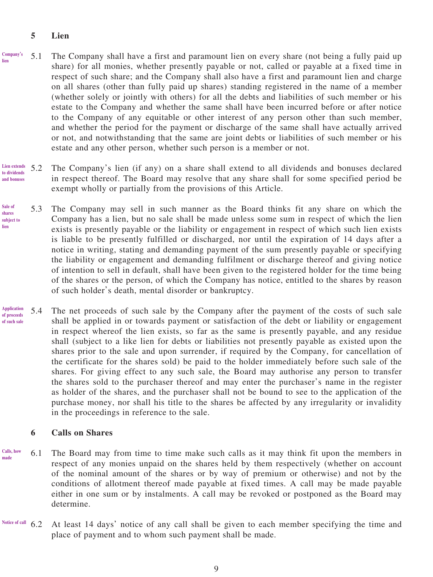# **5 Lien**

- 5.1 The Company shall have a first and paramount lien on every share (not being a fully paid up share) for all monies, whether presently payable or not, called or payable at a fixed time in respect of such share; and the Company shall also have a first and paramount lien and charge on all shares (other than fully paid up shares) standing registered in the name of a member (whether solely or jointly with others) for all the debts and liabilities of such member or his estate to the Company and whether the same shall have been incurred before or after notice to the Company of any equitable or other interest of any person other than such member, and whether the period for the payment or discharge of the same shall have actually arrived or not, and notwithstanding that the same are joint debts or liabilities of such member or his estate and any other person, whether such person is a member or not. **Company's lien**
- 5.2 The Company's lien (if any) on a share shall extend to all dividends and bonuses declared in respect thereof. The Board may resolve that any share shall for some specified period be exempt wholly or partially from the provisions of this Article. **Lien extends to dividends and bonuses**
- 5.3 The Company may sell in such manner as the Board thinks fit any share on which the Company has a lien, but no sale shall be made unless some sum in respect of which the lien exists is presently payable or the liability or engagement in respect of which such lien exists is liable to be presently fulfilled or discharged, nor until the expiration of 14 days after a notice in writing, stating and demanding payment of the sum presently payable or specifying the liability or engagement and demanding fulfilment or discharge thereof and giving notice of intention to sell in default, shall have been given to the registered holder for the time being of the shares or the person, of which the Company has notice, entitled to the shares by reason of such holder's death, mental disorder or bankruptcy. **Sale of shares subject to lien**
- 5.4 The net proceeds of such sale by the Company after the payment of the costs of such sale shall be applied in or towards payment or satisfaction of the debt or liability or engagement in respect whereof the lien exists, so far as the same is presently payable, and any residue shall (subject to a like lien for debts or liabilities not presently payable as existed upon the shares prior to the sale and upon surrender, if required by the Company, for cancellation of the certificate for the shares sold) be paid to the holder immediately before such sale of the shares. For giving effect to any such sale, the Board may authorise any person to transfer the shares sold to the purchaser thereof and may enter the purchaser's name in the register as holder of the shares, and the purchaser shall not be bound to see to the application of the purchase money, nor shall his title to the shares be affected by any irregularity or invalidity in the proceedings in reference to the sale. **Application of proceeds of such sale**

#### **6 Calls on Shares**

- 6.1 The Board may from time to time make such calls as it may think fit upon the members in respect of any monies unpaid on the shares held by them respectively (whether on account of the nominal amount of the shares or by way of premium or otherwise) and not by the conditions of allotment thereof made payable at fixed times. A call may be made payable either in one sum or by instalments. A call may be revoked or postponed as the Board may determine. **Calls, how made**
- 6.2 At least 14 days' notice of any call shall be given to each member specifying the time and place of payment and to whom such payment shall be made. **Notice of call**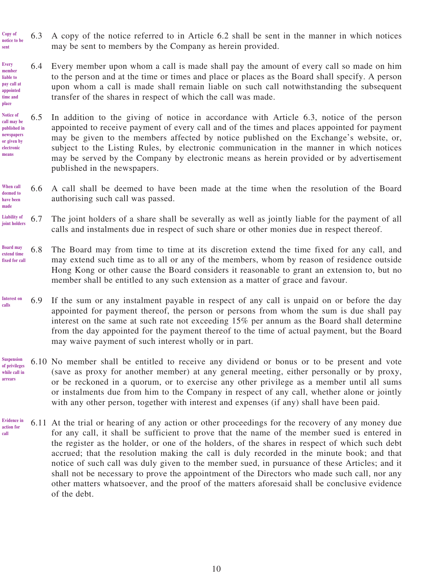- 6.3 A copy of the notice referred to in Article 6.2 shall be sent in the manner in which notices may be sent to members by the Company as herein provided. **Copy of notice** to be **sent**
- 6.4 Every member upon whom a call is made shall pay the amount of every call so made on him to the person and at the time or times and place or places as the Board shall specify. A person upon whom a call is made shall remain liable on such call notwithstanding the subsequent transfer of the shares in respect of which the call was made. **Every member liable to pay call at appointed time and place**
- 6.5 In addition to the giving of notice in accordance with Article 6.3, notice of the person appointed to receive payment of every call and of the times and places appointed for payment may be given to the members affected by notice published on the Exchange's website, or, subject to the Listing Rules, by electronic communication in the manner in which notices may be served by the Company by electronic means as herein provided or by advertisement published in the newspapers. **Notice of call may be published in newspapers or given by electronic means**
- 6.6 A call shall be deemed to have been made at the time when the resolution of the Board authorising such call was passed. **When call deemed to have been made**
- 6.7 The joint holders of a share shall be severally as well as jointly liable for the payment of all calls and instalments due in respect of such share or other monies due in respect thereof. **Liability of joint holders**
- 6.8 The Board may from time to time at its discretion extend the time fixed for any call, and may extend such time as to all or any of the members, whom by reason of residence outside Hong Kong or other cause the Board considers it reasonable to grant an extension to, but no member shall be entitled to any such extension as a matter of grace and favour. **Board may extend time fixed for call**
- 6.9 If the sum or any instalment payable in respect of any call is unpaid on or before the day appointed for payment thereof, the person or persons from whom the sum is due shall pay interest on the same at such rate not exceeding 15% per annum as the Board shall determine from the day appointed for the payment thereof to the time of actual payment, but the Board may waive payment of such interest wholly or in part. **Interest on calls**
- 6.10 No member shall be entitled to receive any dividend or bonus or to be present and vote (save as proxy for another member) at any general meeting, either personally or by proxy, or be reckoned in a quorum, or to exercise any other privilege as a member until all sums or instalments due from him to the Company in respect of any call, whether alone or jointly with any other person, together with interest and expenses (if any) shall have been paid. **Suspension of privileges while call in arrears**
- 6.11 At the trial or hearing of any action or other proceedings for the recovery of any money due for any call, it shall be sufficient to prove that the name of the member sued is entered in the register as the holder, or one of the holders, of the shares in respect of which such debt accrued; that the resolution making the call is duly recorded in the minute book; and that notice of such call was duly given to the member sued, in pursuance of these Articles; and it shall not be necessary to prove the appointment of the Directors who made such call, nor any other matters whatsoever, and the proof of the matters aforesaid shall be conclusive evidence of the debt. **Evidence in action for call**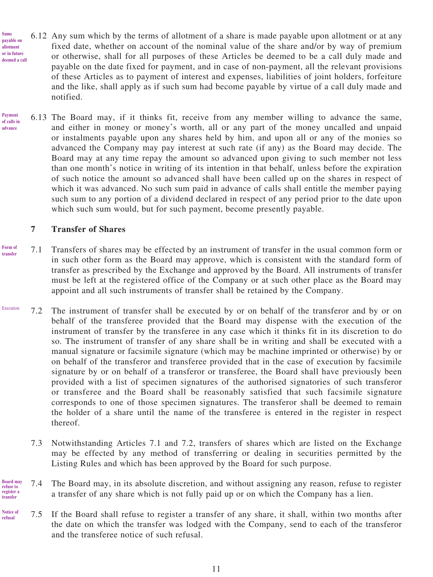- 6.12 Any sum which by the terms of allotment of a share is made payable upon allotment or at any fixed date, whether on account of the nominal value of the share and/or by way of premium or otherwise, shall for all purposes of these Articles be deemed to be a call duly made and payable on the date fixed for payment, and in case of non-payment, all the relevant provisions of these Articles as to payment of interest and expenses, liabilities of joint holders, forfeiture and the like, shall apply as if such sum had become payable by virtue of a call duly made and notified. **or in future deemed a call**
- 6.13 The Board may, if it thinks fit, receive from any member willing to advance the same, and either in money or money's worth, all or any part of the money uncalled and unpaid or instalments payable upon any shares held by him, and upon all or any of the monies so advanced the Company may pay interest at such rate (if any) as the Board may decide. The Board may at any time repay the amount so advanced upon giving to such member not less than one month's notice in writing of its intention in that behalf, unless before the expiration of such notice the amount so advanced shall have been called up on the shares in respect of which it was advanced. No such sum paid in advance of calls shall entitle the member paying such sum to any portion of a dividend declared in respect of any period prior to the date upon which such sum would, but for such payment, become presently payable. **Payment of calls in advance**

### **7 Transfer of Shares**

**Sums payable on allotment** 

- 7.1 Transfers of shares may be effected by an instrument of transfer in the usual common form or in such other form as the Board may approve, which is consistent with the standard form of transfer as prescribed by the Exchange and approved by the Board. All instruments of transfer must be left at the registered office of the Company or at such other place as the Board may appoint and all such instruments of transfer shall be retained by the Company. **Form of transfer**
- 7.2 The instrument of transfer shall be executed by or on behalf of the transferor and by or on behalf of the transferee provided that the Board may dispense with the execution of the instrument of transfer by the transferee in any case which it thinks fit in its discretion to do so. The instrument of transfer of any share shall be in writing and shall be executed with a manual signature or facsimile signature (which may be machine imprinted or otherwise) by or on behalf of the transferor and transferee provided that in the case of execution by facsimile signature by or on behalf of a transferor or transferee, the Board shall have previously been provided with a list of specimen signatures of the authorised signatories of such transferor or transferee and the Board shall be reasonably satisfied that such facsimile signature corresponds to one of those specimen signatures. The transferor shall be deemed to remain the holder of a share until the name of the transferee is entered in the register in respect thereof. Execution
	- 7.3 Notwithstanding Articles 7.1 and 7.2, transfers of shares which are listed on the Exchange may be effected by any method of transferring or dealing in securities permitted by the Listing Rules and which has been approved by the Board for such purpose.
- 7.4 The Board may, in its absolute discretion, and without assigning any reason, refuse to register a transfer of any share which is not fully paid up or on which the Company has a lien. **Board may refuse to register a transfer**
- 7.5 If the Board shall refuse to register a transfer of any share, it shall, within two months after the date on which the transfer was lodged with the Company, send to each of the transferor and the transferee notice of such refusal. **Notice of refusal**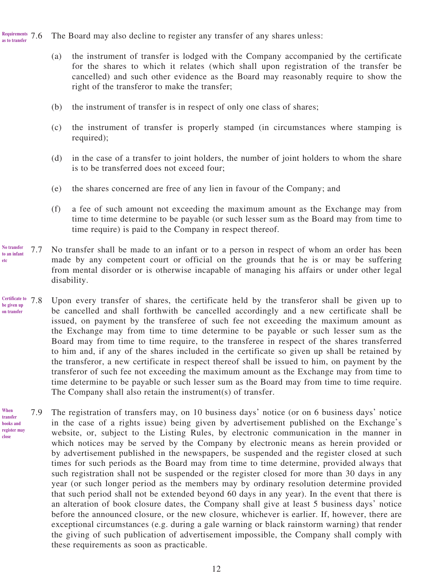The Board may also decline to register any transfer of any shares unless: **Requirements as to transfer**

- (a) the instrument of transfer is lodged with the Company accompanied by the certificate for the shares to which it relates (which shall upon registration of the transfer be cancelled) and such other evidence as the Board may reasonably require to show the right of the transferor to make the transfer;
- (b) the instrument of transfer is in respect of only one class of shares;
- (c) the instrument of transfer is properly stamped (in circumstances where stamping is required);
- (d) in the case of a transfer to joint holders, the number of joint holders to whom the share is to be transferred does not exceed four;
- (e) the shares concerned are free of any lien in favour of the Company; and
- (f) a fee of such amount not exceeding the maximum amount as the Exchange may from time to time determine to be payable (or such lesser sum as the Board may from time to time require) is paid to the Company in respect thereof.
- 7.7 No transfer shall be made to an infant or to a person in respect of whom an order has been made by any competent court or official on the grounds that he is or may be suffering from mental disorder or is otherwise incapable of managing his affairs or under other legal disability. **No transfer to an infant etc**
- 7.8 Upon every transfer of shares, the certificate held by the transferor shall be given up to be cancelled and shall forthwith be cancelled accordingly and a new certificate shall be issued, on payment by the transferee of such fee not exceeding the maximum amount as the Exchange may from time to time determine to be payable or such lesser sum as the Board may from time to time require, to the transferee in respect of the shares transferred to him and, if any of the shares included in the certificate so given up shall be retained by the transferor, a new certificate in respect thereof shall be issued to him, on payment by the transferor of such fee not exceeding the maximum amount as the Exchange may from time to time determine to be payable or such lesser sum as the Board may from time to time require. The Company shall also retain the instrument(s) of transfer. **Certificate to be given up on transfer**
- 7.9 The registration of transfers may, on 10 business days' notice (or on 6 business days' notice in the case of a rights issue) being given by advertisement published on the Exchange's website, or, subject to the Listing Rules, by electronic communication in the manner in which notices may be served by the Company by electronic means as herein provided or by advertisement published in the newspapers, be suspended and the register closed at such times for such periods as the Board may from time to time determine, provided always that such registration shall not be suspended or the register closed for more than 30 days in any year (or such longer period as the members may by ordinary resolution determine provided that such period shall not be extended beyond 60 days in any year). In the event that there is an alteration of book closure dates, the Company shall give at least 5 business days' notice before the announced closure, or the new closure, whichever is earlier. If, however, there are exceptional circumstances (e.g. during a gale warning or black rainstorm warning) that render the giving of such publication of advertisement impossible, the Company shall comply with these requirements as soon as practicable. **When transfer books and register may**

**close**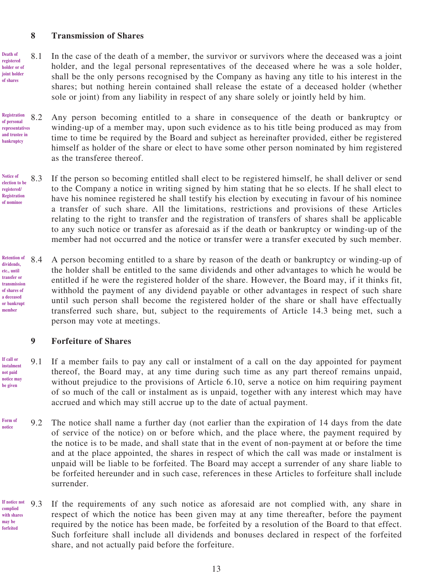#### **8 Transmission of Shares**

- 8.1 In the case of the death of a member, the survivor or survivors where the deceased was a joint holder, and the legal personal representatives of the deceased where he was a sole holder, shall be the only persons recognised by the Company as having any title to his interest in the shares; but nothing herein contained shall release the estate of a deceased holder (whether sole or joint) from any liability in respect of any share solely or jointly held by him. **Death of registered holder or of joint holder of shares**
- 8.2 Any person becoming entitled to a share in consequence of the death or bankruptcy or winding-up of a member may, upon such evidence as to his title being produced as may from time to time be required by the Board and subject as hereinafter provided, either be registered himself as holder of the share or elect to have some other person nominated by him registered as the transferee thereof. **Registration of personal representatives and trustee in**
- 8.3 If the person so becoming entitled shall elect to be registered himself, he shall deliver or send to the Company a notice in writing signed by him stating that he so elects. If he shall elect to have his nominee registered he shall testify his election by executing in favour of his nominee a transfer of such share. All the limitations, restrictions and provisions of these Articles relating to the right to transfer and the registration of transfers of shares shall be applicable to any such notice or transfer as aforesaid as if the death or bankruptcy or winding-up of the member had not occurred and the notice or transfer were a transfer executed by such member. **Notice of election to be registered/ Registration of nominee**
- 8.4 A person becoming entitled to a share by reason of the death or bankruptcy or winding-up of the holder shall be entitled to the same dividends and other advantages to which he would be entitled if he were the registered holder of the share. However, the Board may, if it thinks fit, withhold the payment of any dividend payable or other advantages in respect of such share until such person shall become the registered holder of the share or shall have effectually transferred such share, but, subject to the requirements of Article 14.3 being met, such a person may vote at meetings. **member**

#### **9 Forfeiture of Shares**

- 9.1 If a member fails to pay any call or instalment of a call on the day appointed for payment thereof, the Board may, at any time during such time as any part thereof remains unpaid, without prejudice to the provisions of Article 6.10, serve a notice on him requiring payment of so much of the call or instalment as is unpaid, together with any interest which may have accrued and which may still accrue up to the date of actual payment.
- 9.2 The notice shall name a further day (not earlier than the expiration of 14 days from the date of service of the notice) on or before which, and the place where, the payment required by the notice is to be made, and shall state that in the event of non-payment at or before the time and at the place appointed, the shares in respect of which the call was made or instalment is unpaid will be liable to be forfeited. The Board may accept a surrender of any share liable to be forfeited hereunder and in such case, references in these Articles to forfeiture shall include surrender.
- 9.3 If the requirements of any such notice as aforesaid are not complied with, any share in respect of which the notice has been given may at any time thereafter, before the payment required by the notice has been made, be forfeited by a resolution of the Board to that effect. Such forfeiture shall include all dividends and bonuses declared in respect of the forfeited share, and not actually paid before the forfeiture. **If notice not complied with shares may be forfeited**

13

**bankruptcy**

**Retention of dividends, etc., until transfer or transmission of shares of a deceased or bankrupt** 

**If call or instalment not paid notice may be given**

**Form of notice**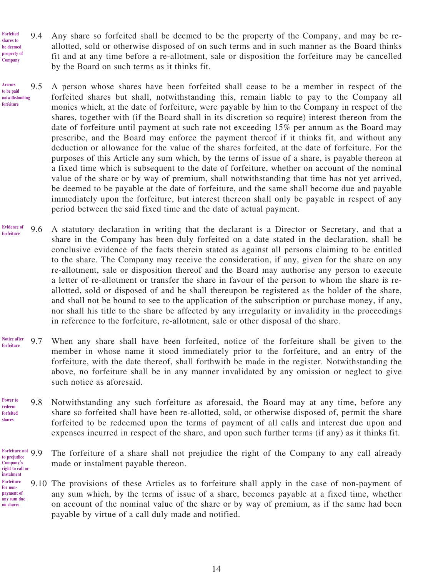- 9.4 Any share so forfeited shall be deemed to be the property of the Company, and may be reallotted, sold or otherwise disposed of on such terms and in such manner as the Board thinks fit and at any time before a re-allotment, sale or disposition the forfeiture may be cancelled by the Board on such terms as it thinks fit. **Forfeited shares to be deemed property of Company**
- 9.5 A person whose shares have been forfeited shall cease to be a member in respect of the forfeited shares but shall, notwithstanding this, remain liable to pay to the Company all monies which, at the date of forfeiture, were payable by him to the Company in respect of the shares, together with (if the Board shall in its discretion so require) interest thereon from the date of forfeiture until payment at such rate not exceeding 15% per annum as the Board may prescribe, and the Board may enforce the payment thereof if it thinks fit, and without any deduction or allowance for the value of the shares forfeited, at the date of forfeiture. For the purposes of this Article any sum which, by the terms of issue of a share, is payable thereon at a fixed time which is subsequent to the date of forfeiture, whether on account of the nominal value of the share or by way of premium, shall notwithstanding that time has not yet arrived, be deemed to be payable at the date of forfeiture, and the same shall become due and payable immediately upon the forfeiture, but interest thereon shall only be payable in respect of any period between the said fixed time and the date of actual payment. **Arrears to be paid notwithstanding forfeiture**
- 9.6 A statutory declaration in writing that the declarant is a Director or Secretary, and that a share in the Company has been duly forfeited on a date stated in the declaration, shall be conclusive evidence of the facts therein stated as against all persons claiming to be entitled to the share. The Company may receive the consideration, if any, given for the share on any re-allotment, sale or disposition thereof and the Board may authorise any person to execute a letter of re-allotment or transfer the share in favour of the person to whom the share is reallotted, sold or disposed of and he shall thereupon be registered as the holder of the share, and shall not be bound to see to the application of the subscription or purchase money, if any, nor shall his title to the share be affected by any irregularity or invalidity in the proceedings in reference to the forfeiture, re-allotment, sale or other disposal of the share. **Evidence of forfeiture**
- 9.7 When any share shall have been forfeited, notice of the forfeiture shall be given to the member in whose name it stood immediately prior to the forfeiture, and an entry of the forfeiture, with the date thereof, shall forthwith be made in the register. Notwithstanding the above, no forfeiture shall be in any manner invalidated by any omission or neglect to give such notice as aforesaid. **Notice after forfeiture**
- 9.8 Notwithstanding any such forfeiture as aforesaid, the Board may at any time, before any share so forfeited shall have been re-allotted, sold, or otherwise disposed of, permit the share forfeited to be redeemed upon the terms of payment of all calls and interest due upon and expenses incurred in respect of the share, and upon such further terms (if any) as it thinks fit. **Power to redeem forfeited shares**

#### The forfeiture of a share shall not prejudice the right of the Company to any call already made or instalment payable thereon. **Forfeiture not to prejudice Company's right to call or**

**instalment**

9.10 The provisions of these Articles as to forfeiture shall apply in the case of non-payment of any sum which, by the terms of issue of a share, becomes payable at a fixed time, whether on account of the nominal value of the share or by way of premium, as if the same had been payable by virtue of a call duly made and notified. **Forfeiture for nonpayment of any sum due on shares**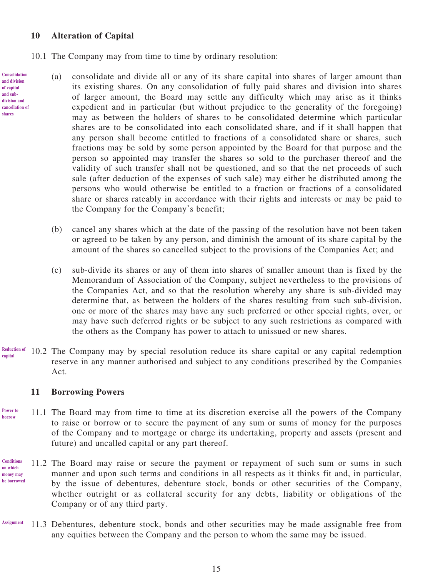# **10 Alteration of Capital**

**Consolidation and division of capital and subdivision and cancellation of shares**

- 10.1 The Company may from time to time by ordinary resolution:
	- (a) consolidate and divide all or any of its share capital into shares of larger amount than its existing shares. On any consolidation of fully paid shares and division into shares of larger amount, the Board may settle any difficulty which may arise as it thinks expedient and in particular (but without prejudice to the generality of the foregoing) may as between the holders of shares to be consolidated determine which particular shares are to be consolidated into each consolidated share, and if it shall happen that any person shall become entitled to fractions of a consolidated share or shares, such fractions may be sold by some person appointed by the Board for that purpose and the person so appointed may transfer the shares so sold to the purchaser thereof and the validity of such transfer shall not be questioned, and so that the net proceeds of such sale (after deduction of the expenses of such sale) may either be distributed among the persons who would otherwise be entitled to a fraction or fractions of a consolidated share or shares rateably in accordance with their rights and interests or may be paid to the Company for the Company's benefit;
		- (b) cancel any shares which at the date of the passing of the resolution have not been taken or agreed to be taken by any person, and diminish the amount of its share capital by the amount of the shares so cancelled subject to the provisions of the Companies Act; and
		- (c) sub-divide its shares or any of them into shares of smaller amount than is fixed by the Memorandum of Association of the Company, subject nevertheless to the provisions of the Companies Act, and so that the resolution whereby any share is sub-divided may determine that, as between the holders of the shares resulting from such sub-division, one or more of the shares may have any such preferred or other special rights, over, or may have such deferred rights or be subject to any such restrictions as compared with the others as the Company has power to attach to unissued or new shares.
- 10.2 The Company may by special resolution reduce its share capital or any capital redemption reserve in any manner authorised and subject to any conditions prescribed by the Companies Act. **Reduction of capital**

#### **11 Borrowing Powers**

- 11.1 The Board may from time to time at its discretion exercise all the powers of the Company to raise or borrow or to secure the payment of any sum or sums of money for the purposes of the Company and to mortgage or charge its undertaking, property and assets (present and future) and uncalled capital or any part thereof. **Power to borrow**
- 11.2 The Board may raise or secure the payment or repayment of such sum or sums in such manner and upon such terms and conditions in all respects as it thinks fit and, in particular, by the issue of debentures, debenture stock, bonds or other securities of the Company, whether outright or as collateral security for any debts, liability or obligations of the Company or of any third party. **Conditions on which money may be borrowed**
- 11.3 Debentures, debenture stock, bonds and other securities may be made assignable free from any equities between the Company and the person to whom the same may be issued. **Assignment**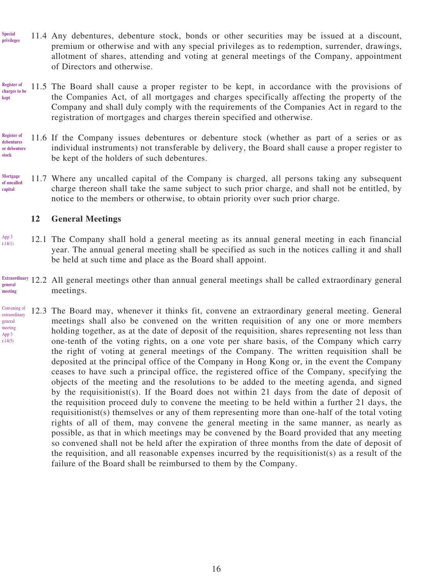- 11.4 Any debentures, debenture stock, bonds or other securities may be issued at a discount, premium or otherwise and with any special privileges as to redemption, surrender, drawings, allotment of shares, attending and voting at general meetings of the Company, appointment of Directors and otherwise. **Special privileges**
- 11.5 The Board shall cause a proper register to be kept, in accordance with the provisions of the Companies Act, of all mortgages and charges specifically affecting the property of the Company and shall duly comply with the requirements of the Companies Act in regard to the registration of mortgages and charges therein specified and otherwise. **Register of charges to be kept**
- 11.6 If the Company issues debentures or debenture stock (whether as part of a series or as individual instruments) not transferable by delivery, the Board shall cause a proper register to be kept of the holders of such debentures. **Register of debentures or debenture stock**
- 11.7 Where any uncalled capital of the Company is charged, all persons taking any subsequent charge thereon shall take the same subject to such prior charge, and shall not be entitled, by notice to the members or otherwise, to obtain priority over such prior charge. **Mortgage of uncalled capital**

### **12 General Meetings**

- 12.1 The Company shall hold a general meeting as its annual general meeting in each financial year. The annual general meeting shall be specified as such in the notices calling it and shall be held at such time and place as the Board shall appoint. App 3 r.14(1)
- 12.2 All general meetings other than annual general meetings shall be called extraordinary general meetings. **Extraordinary general meeting**
- 12.3 The Board may, whenever it thinks fit, convene an extraordinary general meeting. General meetings shall also be convened on the written requisition of any one or more members holding together, as at the date of deposit of the requisition, shares representing not less than one-tenth of the voting rights, on a one vote per share basis, of the Company which carry the right of voting at general meetings of the Company. The written requisition shall be deposited at the principal office of the Company in Hong Kong or, in the event the Company ceases to have such a principal office, the registered office of the Company, specifying the objects of the meeting and the resolutions to be added to the meeting agenda, and signed by the requisitionist(s). If the Board does not within 21 days from the date of deposit of the requisition proceed duly to convene the meeting to be held within a further 21 days, the requisitionist(s) themselves or any of them representing more than one-half of the total voting rights of all of them, may convene the general meeting in the same manner, as nearly as possible, as that in which meetings may be convened by the Board provided that any meeting so convened shall not be held after the expiration of three months from the date of deposit of the requisition, and all reasonable expenses incurred by the requisitionist(s) as a result of the failure of the Board shall be reimbursed to them by the Company. Convening of extraordinary general meeting App 3 r.14(5)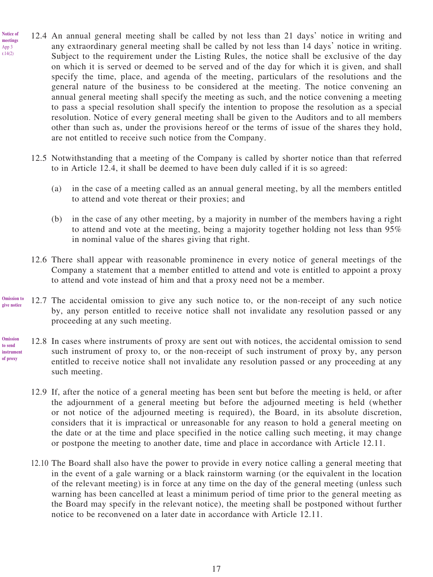12.4 An annual general meeting shall be called by not less than 21 days' notice in writing and any extraordinary general meeting shall be called by not less than 14 days' notice in writing. Subject to the requirement under the Listing Rules, the notice shall be exclusive of the day on which it is served or deemed to be served and of the day for which it is given, and shall specify the time, place, and agenda of the meeting, particulars of the resolutions and the general nature of the business to be considered at the meeting. The notice convening an annual general meeting shall specify the meeting as such, and the notice convening a meeting to pass a special resolution shall specify the intention to propose the resolution as a special resolution. Notice of every general meeting shall be given to the Auditors and to all members other than such as, under the provisions hereof or the terms of issue of the shares they hold, are not entitled to receive such notice from the Company. **Notice of meetings**

App 3 r.14(2)

- 12.5 Notwithstanding that a meeting of the Company is called by shorter notice than that referred to in Article 12.4, it shall be deemed to have been duly called if it is so agreed:
	- (a) in the case of a meeting called as an annual general meeting, by all the members entitled to attend and vote thereat or their proxies; and
	- (b) in the case of any other meeting, by a majority in number of the members having a right to attend and vote at the meeting, being a majority together holding not less than 95% in nominal value of the shares giving that right.
- 12.6 There shall appear with reasonable prominence in every notice of general meetings of the Company a statement that a member entitled to attend and vote is entitled to appoint a proxy to attend and vote instead of him and that a proxy need not be a member.
- 12.7 The accidental omission to give any such notice to, or the non-receipt of any such notice by, any person entitled to receive notice shall not invalidate any resolution passed or any proceeding at any such meeting. **Omission to give notice**
- 12.8 In cases where instruments of proxy are sent out with notices, the accidental omission to send such instrument of proxy to, or the non-receipt of such instrument of proxy by, any person entitled to receive notice shall not invalidate any resolution passed or any proceeding at any such meeting. **Omission to send instrument of proxy**
	- 12.9 If, after the notice of a general meeting has been sent but before the meeting is held, or after the adjournment of a general meeting but before the adjourned meeting is held (whether or not notice of the adjourned meeting is required), the Board, in its absolute discretion, considers that it is impractical or unreasonable for any reason to hold a general meeting on the date or at the time and place specified in the notice calling such meeting, it may change or postpone the meeting to another date, time and place in accordance with Article 12.11.
	- 12.10 The Board shall also have the power to provide in every notice calling a general meeting that in the event of a gale warning or a black rainstorm warning (or the equivalent in the location of the relevant meeting) is in force at any time on the day of the general meeting (unless such warning has been cancelled at least a minimum period of time prior to the general meeting as the Board may specify in the relevant notice), the meeting shall be postponed without further notice to be reconvened on a later date in accordance with Article 12.11.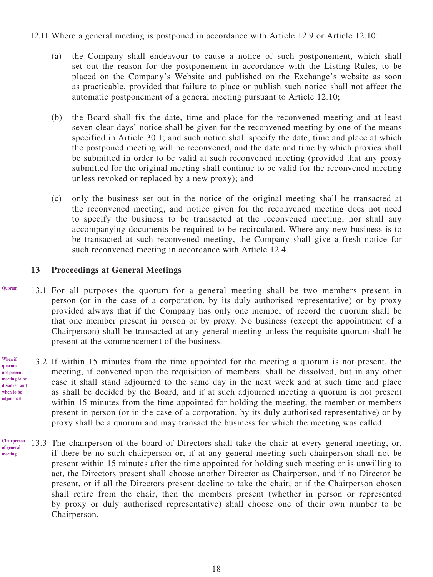12.11 Where a general meeting is postponed in accordance with Article 12.9 or Article 12.10:

- (a) the Company shall endeavour to cause a notice of such postponement, which shall set out the reason for the postponement in accordance with the Listing Rules, to be placed on the Company's Website and published on the Exchange's website as soon as practicable, provided that failure to place or publish such notice shall not affect the automatic postponement of a general meeting pursuant to Article 12.10;
- (b) the Board shall fix the date, time and place for the reconvened meeting and at least seven clear days' notice shall be given for the reconvened meeting by one of the means specified in Article 30.1; and such notice shall specify the date, time and place at which the postponed meeting will be reconvened, and the date and time by which proxies shall be submitted in order to be valid at such reconvened meeting (provided that any proxy submitted for the original meeting shall continue to be valid for the reconvened meeting unless revoked or replaced by a new proxy); and
- (c) only the business set out in the notice of the original meeting shall be transacted at the reconvened meeting, and notice given for the reconvened meeting does not need to specify the business to be transacted at the reconvened meeting, nor shall any accompanying documents be required to be recirculated. Where any new business is to be transacted at such reconvened meeting, the Company shall give a fresh notice for such reconvened meeting in accordance with Article 12.4.

### **13 Proceedings at General Meetings**

- 13.1 For all purposes the quorum for a general meeting shall be two members present in person (or in the case of a corporation, by its duly authorised representative) or by proxy provided always that if the Company has only one member of record the quorum shall be that one member present in person or by proxy. No business (except the appointment of a Chairperson) shall be transacted at any general meeting unless the requisite quorum shall be present at the commencement of the business. **Quorum**
	- 13.2 If within 15 minutes from the time appointed for the meeting a quorum is not present, the meeting, if convened upon the requisition of members, shall be dissolved, but in any other case it shall stand adjourned to the same day in the next week and at such time and place as shall be decided by the Board, and if at such adjourned meeting a quorum is not present within 15 minutes from the time appointed for holding the meeting, the member or members present in person (or in the case of a corporation, by its duly authorised representative) or by proxy shall be a quorum and may transact the business for which the meeting was called.
- 13.3 The chairperson of the board of Directors shall take the chair at every general meeting, or, if there be no such chairperson or, if at any general meeting such chairperson shall not be present within 15 minutes after the time appointed for holding such meeting or is unwilling to act, the Directors present shall choose another Director as Chairperson, and if no Director be present, or if all the Directors present decline to take the chair, or if the Chairperson chosen shall retire from the chair, then the members present (whether in person or represented by proxy or duly authorised representative) shall choose one of their own number to be Chairperson. **Chairperson of general meeting**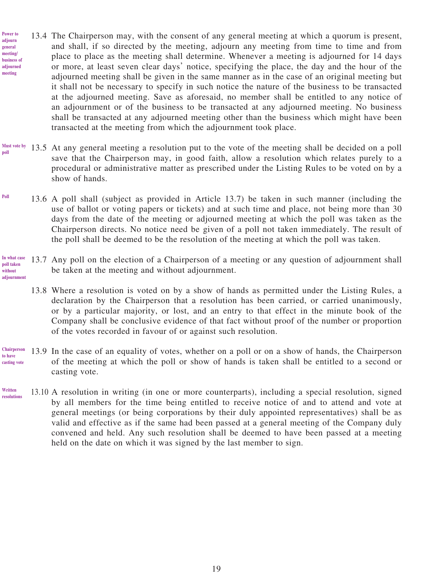- 13.4 The Chairperson may, with the consent of any general meeting at which a quorum is present, and shall, if so directed by the meeting, adjourn any meeting from time to time and from place to place as the meeting shall determine. Whenever a meeting is adjourned for 14 days or more, at least seven clear days' notice, specifying the place, the day and the hour of the adjourned meeting shall be given in the same manner as in the case of an original meeting but it shall not be necessary to specify in such notice the nature of the business to be transacted at the adjourned meeting. Save as aforesaid, no member shall be entitled to any notice of an adjournment or of the business to be transacted at any adjourned meeting. No business shall be transacted at any adjourned meeting other than the business which might have been transacted at the meeting from which the adjournment took place. **Power to adjourn general meeting/ business of adjourned meeting**
- 13.5 At any general meeting a resolution put to the vote of the meeting shall be decided on a poll save that the Chairperson may, in good faith, allow a resolution which relates purely to a procedural or administrative matter as prescribed under the Listing Rules to be voted on by a show of hands. **Must vote by poll**
- 13.6 A poll shall (subject as provided in Article 13.7) be taken in such manner (including the use of ballot or voting papers or tickets) and at such time and place, not being more than 30 days from the date of the meeting or adjourned meeting at which the poll was taken as the Chairperson directs. No notice need be given of a poll not taken immediately. The result of the poll shall be deemed to be the resolution of the meeting at which the poll was taken. **Poll**
- 13.7 Any poll on the election of a Chairperson of a meeting or any question of adjournment shall be taken at the meeting and without adjournment. **In what case poll taken without adjournment**
	- 13.8 Where a resolution is voted on by a show of hands as permitted under the Listing Rules, a declaration by the Chairperson that a resolution has been carried, or carried unanimously, or by a particular majority, or lost, and an entry to that effect in the minute book of the Company shall be conclusive evidence of that fact without proof of the number or proportion of the votes recorded in favour of or against such resolution.
- 13.9 In the case of an equality of votes, whether on a poll or on a show of hands, the Chairperson of the meeting at which the poll or show of hands is taken shall be entitled to a second or casting vote. **Chairperson to have casting vote**
- 13.10 A resolution in writing (in one or more counterparts), including a special resolution, signed by all members for the time being entitled to receive notice of and to attend and vote at general meetings (or being corporations by their duly appointed representatives) shall be as valid and effective as if the same had been passed at a general meeting of the Company duly convened and held. Any such resolution shall be deemed to have been passed at a meeting held on the date on which it was signed by the last member to sign. **Written resolutions**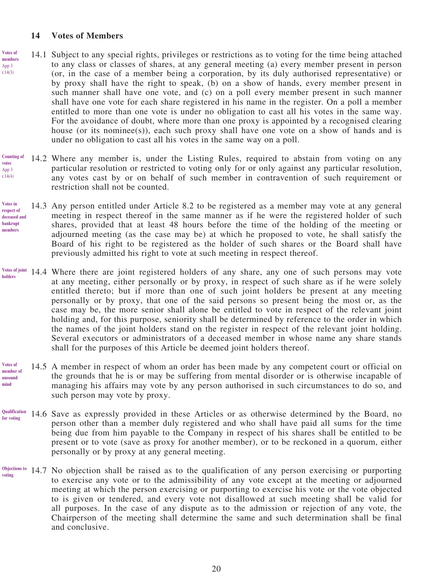#### **14 Votes of Members**

- 14.1 Subject to any special rights, privileges or restrictions as to voting for the time being attached to any class or classes of shares, at any general meeting (a) every member present in person (or, in the case of a member being a corporation, by its duly authorised representative) or by proxy shall have the right to speak, (b) on a show of hands, every member present in such manner shall have one vote, and (c) on a poll every member present in such manner shall have one vote for each share registered in his name in the register. On a poll a member entitled to more than one vote is under no obligation to cast all his votes in the same way. For the avoidance of doubt, where more than one proxy is appointed by a recognised clearing house (or its nominee(s)), each such proxy shall have one vote on a show of hands and is under no obligation to cast all his votes in the same way on a poll. **Votes of members** App 3 r.14(3)
- 14.2 Where any member is, under the Listing Rules, required to abstain from voting on any particular resolution or restricted to voting only for or only against any particular resolution, any votes cast by or on behalf of such member in contravention of such requirement or restriction shall not be counted. **Counting of votes** App 3 r.14(4)
- 14.3 Any person entitled under Article 8.2 to be registered as a member may vote at any general meeting in respect thereof in the same manner as if he were the registered holder of such shares, provided that at least 48 hours before the time of the holding of the meeting or adjourned meeting (as the case may be) at which he proposed to vote, he shall satisfy the Board of his right to be registered as the holder of such shares or the Board shall have previously admitted his right to vote at such meeting in respect thereof. **Votes in respect of deceased and bankrupt members**
- Votes of joint 14.4 Where there are joint registered holders of any share, any one of such persons may vote at any meeting, either personally or by proxy, in respect of such share as if he were solely entitled thereto; but if more than one of such joint holders be present at any meeting personally or by proxy, that one of the said persons so present being the most or, as the case may be, the more senior shall alone be entitled to vote in respect of the relevant joint holding and, for this purpose, seniority shall be determined by reference to the order in which the names of the joint holders stand on the register in respect of the relevant joint holding. Several executors or administrators of a deceased member in whose name any share stands shall for the purposes of this Article be deemed joint holders thereof. **holders**
- 14.5 A member in respect of whom an order has been made by any competent court or official on the grounds that he is or may be suffering from mental disorder or is otherwise incapable of managing his affairs may vote by any person authorised in such circumstances to do so, and such person may vote by proxy. **Votes of member of unsound mind**
- 14.6 Save as expressly provided in these Articles or as otherwise determined by the Board, no person other than a member duly registered and who shall have paid all sums for the time being due from him payable to the Company in respect of his shares shall be entitled to be present or to vote (save as proxy for another member), or to be reckoned in a quorum, either personally or by proxy at any general meeting. **Qualification for voting**
- 14.7 No objection shall be raised as to the qualification of any person exercising or purporting **Objections to**  to exercise any vote or to the admissibility of any vote except at the meeting or adjourned meeting at which the person exercising or purporting to exercise his vote or the vote objected to is given or tendered, and every vote not disallowed at such meeting shall be valid for all purposes. In the case of any dispute as to the admission or rejection of any vote, the Chairperson of the meeting shall determine the same and such determination shall be final and conclusive. **voting**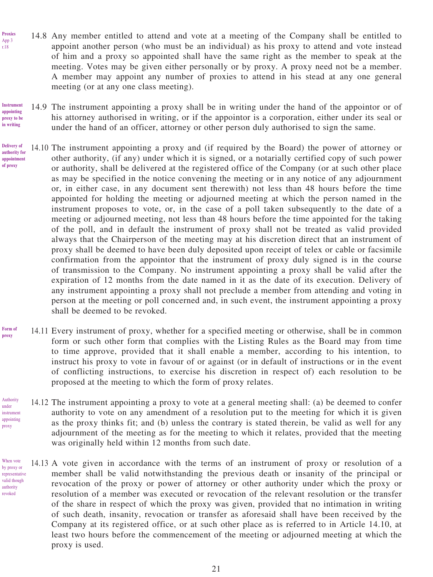- 14.8 Any member entitled to attend and vote at a meeting of the Company shall be entitled to appoint another person (who must be an individual) as his proxy to attend and vote instead of him and a proxy so appointed shall have the same right as the member to speak at the meeting. Votes may be given either personally or by proxy. A proxy need not be a member. A member may appoint any number of proxies to attend in his stead at any one general meeting (or at any one class meeting).
- **Instrument appointing proxy to be in writing**

Authority under

proxy

When vote

authority revoked

**Proxies** App 3 r.18

> 14.9 The instrument appointing a proxy shall be in writing under the hand of the appointor or of his attorney authorised in writing, or if the appointor is a corporation, either under its seal or under the hand of an officer, attorney or other person duly authorised to sign the same.

- 14.10 The instrument appointing a proxy and (if required by the Board) the power of attorney or other authority, (if any) under which it is signed, or a notarially certified copy of such power or authority, shall be delivered at the registered office of the Company (or at such other place as may be specified in the notice convening the meeting or in any notice of any adjournment or, in either case, in any document sent therewith) not less than 48 hours before the time appointed for holding the meeting or adjourned meeting at which the person named in the instrument proposes to vote, or, in the case of a poll taken subsequently to the date of a meeting or adjourned meeting, not less than 48 hours before the time appointed for the taking of the poll, and in default the instrument of proxy shall not be treated as valid provided always that the Chairperson of the meeting may at his discretion direct that an instrument of proxy shall be deemed to have been duly deposited upon receipt of telex or cable or facsimile confirmation from the appointor that the instrument of proxy duly signed is in the course of transmission to the Company. No instrument appointing a proxy shall be valid after the expiration of 12 months from the date named in it as the date of its execution. Delivery of any instrument appointing a proxy shall not preclude a member from attending and voting in person at the meeting or poll concerned and, in such event, the instrument appointing a proxy shall be deemed to be revoked. **Delivery of authority for appointment of proxy**
- 14.11 Every instrument of proxy, whether for a specified meeting or otherwise, shall be in common form or such other form that complies with the Listing Rules as the Board may from time to time approve, provided that it shall enable a member, according to his intention, to instruct his proxy to vote in favour of or against (or in default of instructions or in the event of conflicting instructions, to exercise his discretion in respect of) each resolution to be proposed at the meeting to which the form of proxy relates. **Form of proxy**
- 14.12 The instrument appointing a proxy to vote at a general meeting shall: (a) be deemed to confer authority to vote on any amendment of a resolution put to the meeting for which it is given as the proxy thinks fit; and (b) unless the contrary is stated therein, be valid as well for any adjournment of the meeting as for the meeting to which it relates, provided that the meeting was originally held within 12 months from such date. instrument appointing
- 14.13 A vote given in accordance with the terms of an instrument of proxy or resolution of a member shall be valid notwithstanding the previous death or insanity of the principal or revocation of the proxy or power of attorney or other authority under which the proxy or resolution of a member was executed or revocation of the relevant resolution or the transfer of the share in respect of which the proxy was given, provided that no intimation in writing of such death, insanity, revocation or transfer as aforesaid shall have been received by the Company at its registered office, or at such other place as is referred to in Article 14.10, at least two hours before the commencement of the meeting or adjourned meeting at which the proxy is used. by proxy or representative valid though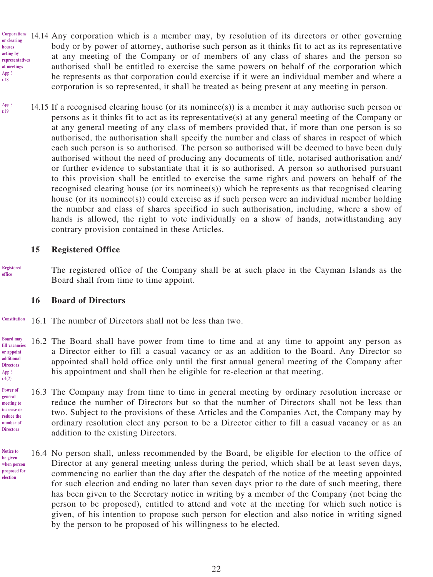- 14.14 Any corporation which is a member may, by resolution of its directors or other governing **Corporations**  body or by power of attorney, authorise such person as it thinks fit to act as its representative at any meeting of the Company or of members of any class of shares and the person so authorised shall be entitled to exercise the same powers on behalf of the corporation which he represents as that corporation could exercise if it were an individual member and where a corporation is so represented, it shall be treated as being present at any meeting in person. **or clearing houses acting by representatives at meetings** App 3 r.18
	- 14.15 If a recognised clearing house (or its nominee(s)) is a member it may authorise such person or persons as it thinks fit to act as its representative(s) at any general meeting of the Company or at any general meeting of any class of members provided that, if more than one person is so authorised, the authorisation shall specify the number and class of shares in respect of which each such person is so authorised. The person so authorised will be deemed to have been duly authorised without the need of producing any documents of title, notarised authorisation and/ or further evidence to substantiate that it is so authorised. A person so authorised pursuant to this provision shall be entitled to exercise the same rights and powers on behalf of the recognised clearing house (or its nominee(s)) which he represents as that recognised clearing house (or its nominee(s)) could exercise as if such person were an individual member holding the number and class of shares specified in such authorisation, including, where a show of hands is allowed, the right to vote individually on a show of hands, notwithstanding any contrary provision contained in these Articles.

#### **15 Registered Office**

**Registered office**

App 3 r.4(2) **Power of general meeting to increase or reduce the number of Directors**

**Notice to be given** 

**election**

App 3 r.19

> The registered office of the Company shall be at such place in the Cayman Islands as the Board shall from time to time appoint.

#### **16 Board of Directors**

- 16.1 The number of Directors shall not be less than two. **Constitution**
- 16.2 The Board shall have power from time to time and at any time to appoint any person as a Director either to fill a casual vacancy or as an addition to the Board. Any Director so appointed shall hold office only until the first annual general meeting of the Company after his appointment and shall then be eligible for re-election at that meeting. **Board may fill vacancies or appoint additional Directors**
	- 16.3 The Company may from time to time in general meeting by ordinary resolution increase or reduce the number of Directors but so that the number of Directors shall not be less than two. Subject to the provisions of these Articles and the Companies Act, the Company may by ordinary resolution elect any person to be a Director either to fill a casual vacancy or as an addition to the existing Directors.
- 16.4 No person shall, unless recommended by the Board, be eligible for election to the office of Director at any general meeting unless during the period, which shall be at least seven days, commencing no earlier than the day after the despatch of the notice of the meeting appointed for such election and ending no later than seven days prior to the date of such meeting, there has been given to the Secretary notice in writing by a member of the Company (not being the person to be proposed), entitled to attend and vote at the meeting for which such notice is given, of his intention to propose such person for election and also notice in writing signed by the person to be proposed of his willingness to be elected. **when person proposed for**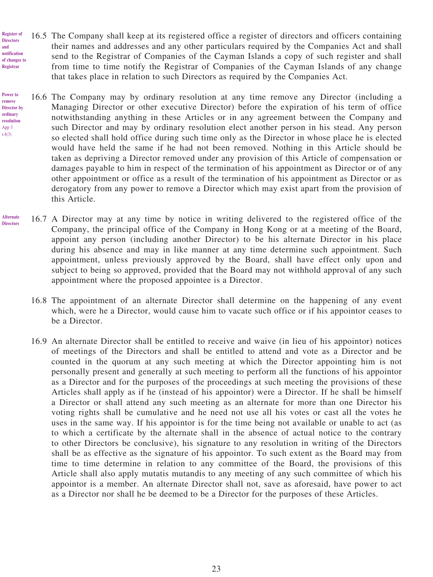16.5 The Company shall keep at its registered office a register of directors and officers containing their names and addresses and any other particulars required by the Companies Act and shall send to the Registrar of Companies of the Cayman Islands a copy of such register and shall from time to time notify the Registrar of Companies of the Cayman Islands of any change that takes place in relation to such Directors as required by the Companies Act. **Register of Directors notification of changes to Registrar**

**and** 

**remove** 

App 3 r.4(3)

- 16.6 The Company may by ordinary resolution at any time remove any Director (including a Managing Director or other executive Director) before the expiration of his term of office notwithstanding anything in these Articles or in any agreement between the Company and such Director and may by ordinary resolution elect another person in his stead. Any person so elected shall hold office during such time only as the Director in whose place he is elected would have held the same if he had not been removed. Nothing in this Article should be taken as depriving a Director removed under any provision of this Article of compensation or damages payable to him in respect of the termination of his appointment as Director or of any other appointment or office as a result of the termination of his appointment as Director or as derogatory from any power to remove a Director which may exist apart from the provision of this Article. **Power to Director by ordinary resolution**
- 16.7 A Director may at any time by notice in writing delivered to the registered office of the Company, the principal office of the Company in Hong Kong or at a meeting of the Board, appoint any person (including another Director) to be his alternate Director in his place during his absence and may in like manner at any time determine such appointment. Such appointment, unless previously approved by the Board, shall have effect only upon and subject to being so approved, provided that the Board may not withhold approval of any such appointment where the proposed appointee is a Director. **Alternate Directors**
	- 16.8 The appointment of an alternate Director shall determine on the happening of any event which, were he a Director, would cause him to vacate such office or if his appointor ceases to be a Director.
	- 16.9 An alternate Director shall be entitled to receive and waive (in lieu of his appointor) notices of meetings of the Directors and shall be entitled to attend and vote as a Director and be counted in the quorum at any such meeting at which the Director appointing him is not personally present and generally at such meeting to perform all the functions of his appointor as a Director and for the purposes of the proceedings at such meeting the provisions of these Articles shall apply as if he (instead of his appointor) were a Director. If he shall be himself a Director or shall attend any such meeting as an alternate for more than one Director his voting rights shall be cumulative and he need not use all his votes or cast all the votes he uses in the same way. If his appointor is for the time being not available or unable to act (as to which a certificate by the alternate shall in the absence of actual notice to the contrary to other Directors be conclusive), his signature to any resolution in writing of the Directors shall be as effective as the signature of his appointor. To such extent as the Board may from time to time determine in relation to any committee of the Board, the provisions of this Article shall also apply mutatis mutandis to any meeting of any such committee of which his appointor is a member. An alternate Director shall not, save as aforesaid, have power to act as a Director nor shall he be deemed to be a Director for the purposes of these Articles.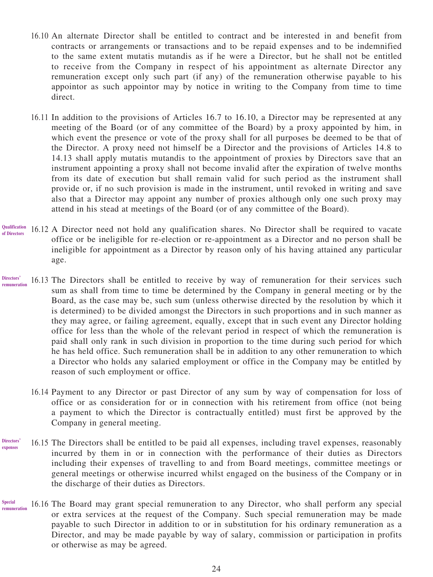- 16.10 An alternate Director shall be entitled to contract and be interested in and benefit from contracts or arrangements or transactions and to be repaid expenses and to be indemnified to the same extent mutatis mutandis as if he were a Director, but he shall not be entitled to receive from the Company in respect of his appointment as alternate Director any remuneration except only such part (if any) of the remuneration otherwise payable to his appointor as such appointor may by notice in writing to the Company from time to time direct.
- 16.11 In addition to the provisions of Articles 16.7 to 16.10, a Director may be represented at any meeting of the Board (or of any committee of the Board) by a proxy appointed by him, in which event the presence or vote of the proxy shall for all purposes be deemed to be that of the Director. A proxy need not himself be a Director and the provisions of Articles 14.8 to 14.13 shall apply mutatis mutandis to the appointment of proxies by Directors save that an instrument appointing a proxy shall not become invalid after the expiration of twelve months from its date of execution but shall remain valid for such period as the instrument shall provide or, if no such provision is made in the instrument, until revoked in writing and save also that a Director may appoint any number of proxies although only one such proxy may attend in his stead at meetings of the Board (or of any committee of the Board).
- 16.12 A Director need not hold any qualification shares. No Director shall be required to vacate office or be ineligible for re-election or re-appointment as a Director and no person shall be ineligible for appointment as a Director by reason only of his having attained any particular age. **Qualification of Directors**
- 16.13 The Directors shall be entitled to receive by way of remuneration for their services such sum as shall from time to time be determined by the Company in general meeting or by the Board, as the case may be, such sum (unless otherwise directed by the resolution by which it is determined) to be divided amongst the Directors in such proportions and in such manner as they may agree, or failing agreement, equally, except that in such event any Director holding office for less than the whole of the relevant period in respect of which the remuneration is paid shall only rank in such division in proportion to the time during such period for which he has held office. Such remuneration shall be in addition to any other remuneration to which a Director who holds any salaried employment or office in the Company may be entitled by reason of such employment or office. **Directors' remuneration**
	- 16.14 Payment to any Director or past Director of any sum by way of compensation for loss of office or as consideration for or in connection with his retirement from office (not being a payment to which the Director is contractually entitled) must first be approved by the Company in general meeting.
- 16.15 The Directors shall be entitled to be paid all expenses, including travel expenses, reasonably incurred by them in or in connection with the performance of their duties as Directors including their expenses of travelling to and from Board meetings, committee meetings or general meetings or otherwise incurred whilst engaged on the business of the Company or in the discharge of their duties as Directors. **Directors' expenses**
- 16.16 The Board may grant special remuneration to any Director, who shall perform any special or extra services at the request of the Company. Such special remuneration may be made payable to such Director in addition to or in substitution for his ordinary remuneration as a Director, and may be made payable by way of salary, commission or participation in profits or otherwise as may be agreed. **Special remuneration**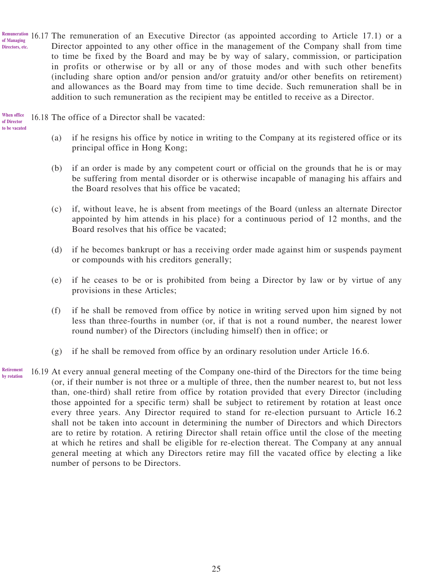Remuneration 16.17 The remuneration of an Executive Director (as appointed according to Article 17.1) or a Director appointed to any other office in the management of the Company shall from time to time be fixed by the Board and may be by way of salary, commission, or participation in profits or otherwise or by all or any of those modes and with such other benefits (including share option and/or pension and/or gratuity and/or other benefits on retirement) and allowances as the Board may from time to time decide. Such remuneration shall be in addition to such remuneration as the recipient may be entitled to receive as a Director. **of Managing Directors, etc.**

16.18 The office of a Director shall be vacated: **When office** 

**of Director** 

- 
- **to be vacated**
- (a) if he resigns his office by notice in writing to the Company at its registered office or its principal office in Hong Kong;
- (b) if an order is made by any competent court or official on the grounds that he is or may be suffering from mental disorder or is otherwise incapable of managing his affairs and the Board resolves that his office be vacated;
- (c) if, without leave, he is absent from meetings of the Board (unless an alternate Director appointed by him attends in his place) for a continuous period of 12 months, and the Board resolves that his office be vacated;
- (d) if he becomes bankrupt or has a receiving order made against him or suspends payment or compounds with his creditors generally;
- (e) if he ceases to be or is prohibited from being a Director by law or by virtue of any provisions in these Articles;
- (f) if he shall be removed from office by notice in writing served upon him signed by not less than three-fourths in number (or, if that is not a round number, the nearest lower round number) of the Directors (including himself) then in office; or
- (g) if he shall be removed from office by an ordinary resolution under Article 16.6.
- 16.19 At every annual general meeting of the Company one-third of the Directors for the time being (or, if their number is not three or a multiple of three, then the number nearest to, but not less than, one-third) shall retire from office by rotation provided that every Director (including those appointed for a specific term) shall be subject to retirement by rotation at least once every three years. Any Director required to stand for re-election pursuant to Article 16.2 shall not be taken into account in determining the number of Directors and which Directors are to retire by rotation. A retiring Director shall retain office until the close of the meeting at which he retires and shall be eligible for re-election thereat. The Company at any annual general meeting at which any Directors retire may fill the vacated office by electing a like number of persons to be Directors. **Retirement by rotation**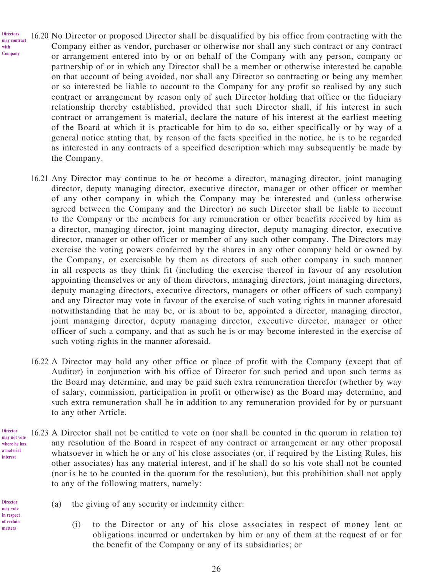- 16.20 No Director or proposed Director shall be disqualified by his office from contracting with the Company either as vendor, purchaser or otherwise nor shall any such contract or any contract or arrangement entered into by or on behalf of the Company with any person, company or partnership of or in which any Director shall be a member or otherwise interested be capable on that account of being avoided, nor shall any Director so contracting or being any member or so interested be liable to account to the Company for any profit so realised by any such contract or arrangement by reason only of such Director holding that office or the fiduciary relationship thereby established, provided that such Director shall, if his interest in such contract or arrangement is material, declare the nature of his interest at the earliest meeting of the Board at which it is practicable for him to do so, either specifically or by way of a general notice stating that, by reason of the facts specified in the notice, he is to be regarded as interested in any contracts of a specified description which may subsequently be made by the Company. **Directors may contract Company**
	- 16.21 Any Director may continue to be or become a director, managing director, joint managing director, deputy managing director, executive director, manager or other officer or member of any other company in which the Company may be interested and (unless otherwise agreed between the Company and the Director) no such Director shall be liable to account to the Company or the members for any remuneration or other benefits received by him as a director, managing director, joint managing director, deputy managing director, executive director, manager or other officer or member of any such other company. The Directors may exercise the voting powers conferred by the shares in any other company held or owned by the Company, or exercisable by them as directors of such other company in such manner in all respects as they think fit (including the exercise thereof in favour of any resolution appointing themselves or any of them directors, managing directors, joint managing directors, deputy managing directors, executive directors, managers or other officers of such company) and any Director may vote in favour of the exercise of such voting rights in manner aforesaid notwithstanding that he may be, or is about to be, appointed a director, managing director, joint managing director, deputy managing director, executive director, manager or other officer of such a company, and that as such he is or may become interested in the exercise of such voting rights in the manner aforesaid.
	- 16.22 A Director may hold any other office or place of profit with the Company (except that of Auditor) in conjunction with his office of Director for such period and upon such terms as the Board may determine, and may be paid such extra remuneration therefor (whether by way of salary, commission, participation in profit or otherwise) as the Board may determine, and such extra remuneration shall be in addition to any remuneration provided for by or pursuant to any other Article.
- 16.23 A Director shall not be entitled to vote on (nor shall be counted in the quorum in relation to) any resolution of the Board in respect of any contract or arrangement or any other proposal whatsoever in which he or any of his close associates (or, if required by the Listing Rules, his other associates) has any material interest, and if he shall do so his vote shall not be counted (nor is he to be counted in the quorum for the resolution), but this prohibition shall not apply to any of the following matters, namely: **may not vote where he has a material** 
	- (a) the giving of any security or indemnity either:
		- (i) to the Director or any of his close associates in respect of money lent or obligations incurred or undertaken by him or any of them at the request of or for the benefit of the Company or any of its subsidiaries; or

**Director** 

**interest**

**with**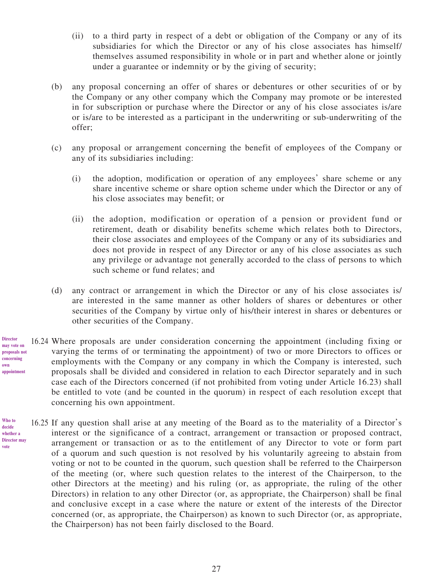- (ii) to a third party in respect of a debt or obligation of the Company or any of its subsidiaries for which the Director or any of his close associates has himself/ themselves assumed responsibility in whole or in part and whether alone or jointly under a guarantee or indemnity or by the giving of security;
- (b) any proposal concerning an offer of shares or debentures or other securities of or by the Company or any other company which the Company may promote or be interested in for subscription or purchase where the Director or any of his close associates is/are or is/are to be interested as a participant in the underwriting or sub-underwriting of the offer;
- (c) any proposal or arrangement concerning the benefit of employees of the Company or any of its subsidiaries including:
	- (i) the adoption, modification or operation of any employees' share scheme or any share incentive scheme or share option scheme under which the Director or any of his close associates may benefit; or
	- (ii) the adoption, modification or operation of a pension or provident fund or retirement, death or disability benefits scheme which relates both to Directors, their close associates and employees of the Company or any of its subsidiaries and does not provide in respect of any Director or any of his close associates as such any privilege or advantage not generally accorded to the class of persons to which such scheme or fund relates; and
- (d) any contract or arrangement in which the Director or any of his close associates is/ are interested in the same manner as other holders of shares or debentures or other securities of the Company by virtue only of his/their interest in shares or debentures or other securities of the Company.
- 16.24 Where proposals are under consideration concerning the appointment (including fixing or varying the terms of or terminating the appointment) of two or more Directors to offices or employments with the Company or any company in which the Company is interested, such proposals shall be divided and considered in relation to each Director separately and in such case each of the Directors concerned (if not prohibited from voting under Article 16.23) shall be entitled to vote (and be counted in the quorum) in respect of each resolution except that concerning his own appointment.
- 16.25 If any question shall arise at any meeting of the Board as to the materiality of a Director's interest or the significance of a contract, arrangement or transaction or proposed contract, arrangement or transaction or as to the entitlement of any Director to vote or form part of a quorum and such question is not resolved by his voluntarily agreeing to abstain from voting or not to be counted in the quorum, such question shall be referred to the Chairperson of the meeting (or, where such question relates to the interest of the Chairperson, to the other Directors at the meeting) and his ruling (or, as appropriate, the ruling of the other Directors) in relation to any other Director (or, as appropriate, the Chairperson) shall be final and conclusive except in a case where the nature or extent of the interests of the Director concerned (or, as appropriate, the Chairperson) as known to such Director (or, as appropriate, the Chairperson) has not been fairly disclosed to the Board.

**may vote on proposals not concerning own appointment**

**Director**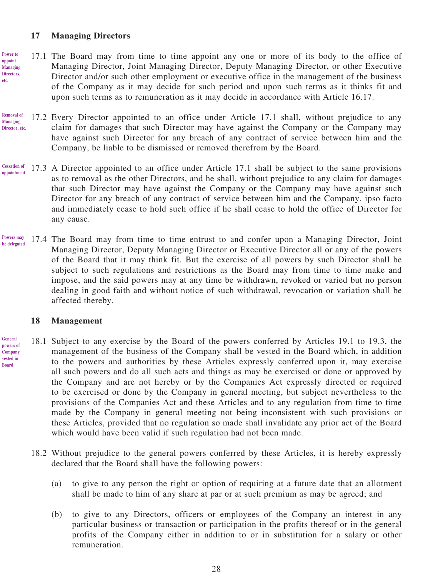# **17 Managing Directors**

**etc.**

- 17.1 The Board may from time to time appoint any one or more of its body to the office of Managing Director, Joint Managing Director, Deputy Managing Director, or other Executive Director and/or such other employment or executive office in the management of the business of the Company as it may decide for such period and upon such terms as it thinks fit and upon such terms as to remuneration as it may decide in accordance with Article 16.17. **Power to appoint Managing Directors,**
- 17.2 Every Director appointed to an office under Article 17.1 shall, without prejudice to any claim for damages that such Director may have against the Company or the Company may have against such Director for any breach of any contract of service between him and the Company, be liable to be dismissed or removed therefrom by the Board. **Removal of Managing Director, etc.**
- 17.3 A Director appointed to an office under Article 17.1 shall be subject to the same provisions as to removal as the other Directors, and he shall, without prejudice to any claim for damages that such Director may have against the Company or the Company may have against such Director for any breach of any contract of service between him and the Company, ipso facto and immediately cease to hold such office if he shall cease to hold the office of Director for any cause. **Cessation of appointment**
- 17.4 The Board may from time to time entrust to and confer upon a Managing Director, Joint Managing Director, Deputy Managing Director or Executive Director all or any of the powers of the Board that it may think fit. But the exercise of all powers by such Director shall be subject to such regulations and restrictions as the Board may from time to time make and impose, and the said powers may at any time be withdrawn, revoked or varied but no person dealing in good faith and without notice of such withdrawal, revocation or variation shall be affected thereby. **Powers may be delegated**

#### **18 Management**

- 18.1 Subject to any exercise by the Board of the powers conferred by Articles 19.1 to 19.3, the management of the business of the Company shall be vested in the Board which, in addition to the powers and authorities by these Articles expressly conferred upon it, may exercise all such powers and do all such acts and things as may be exercised or done or approved by the Company and are not hereby or by the Companies Act expressly directed or required to be exercised or done by the Company in general meeting, but subject nevertheless to the provisions of the Companies Act and these Articles and to any regulation from time to time made by the Company in general meeting not being inconsistent with such provisions or these Articles, provided that no regulation so made shall invalidate any prior act of the Board which would have been valid if such regulation had not been made. **General powers of Company vested in Board**
	- 18.2 Without prejudice to the general powers conferred by these Articles, it is hereby expressly declared that the Board shall have the following powers:
		- (a) to give to any person the right or option of requiring at a future date that an allotment shall be made to him of any share at par or at such premium as may be agreed; and
		- (b) to give to any Directors, officers or employees of the Company an interest in any particular business or transaction or participation in the profits thereof or in the general profits of the Company either in addition to or in substitution for a salary or other remuneration.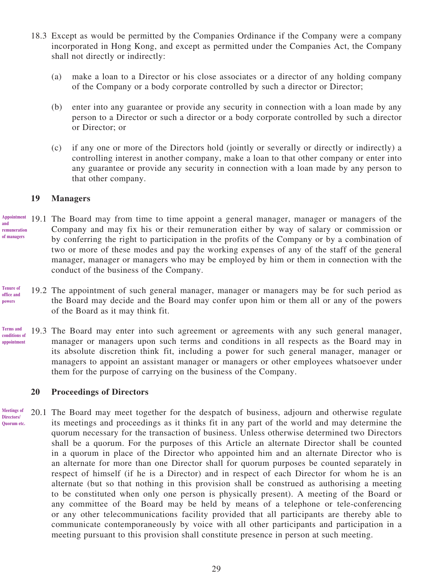- 18.3 Except as would be permitted by the Companies Ordinance if the Company were a company incorporated in Hong Kong, and except as permitted under the Companies Act, the Company shall not directly or indirectly:
	- (a) make a loan to a Director or his close associates or a director of any holding company of the Company or a body corporate controlled by such a director or Director;
	- (b) enter into any guarantee or provide any security in connection with a loan made by any person to a Director or such a director or a body corporate controlled by such a director or Director; or
	- (c) if any one or more of the Directors hold (jointly or severally or directly or indirectly) a controlling interest in another company, make a loan to that other company or enter into any guarantee or provide any security in connection with a loan made by any person to that other company.

### **19 Managers**

- 19.1 The Board may from time to time appoint a general manager, manager or managers of the Company and may fix his or their remuneration either by way of salary or commission or by conferring the right to participation in the profits of the Company or by a combination of two or more of these modes and pay the working expenses of any of the staff of the general manager, manager or managers who may be employed by him or them in connection with the conduct of the business of the Company. **Appointment and remuneration of managers**
- 19.2 The appointment of such general manager, manager or managers may be for such period as the Board may decide and the Board may confer upon him or them all or any of the powers of the Board as it may think fit. **Tenure of office and powers**
- 19.3 The Board may enter into such agreement or agreements with any such general manager, manager or managers upon such terms and conditions in all respects as the Board may in its absolute discretion think fit, including a power for such general manager, manager or managers to appoint an assistant manager or managers or other employees whatsoever under them for the purpose of carrying on the business of the Company. **Terms and conditions of appointment**

#### **20 Proceedings of Directors**

20.1 The Board may meet together for the despatch of business, adjourn and otherwise regulate its meetings and proceedings as it thinks fit in any part of the world and may determine the quorum necessary for the transaction of business. Unless otherwise determined two Directors shall be a quorum. For the purposes of this Article an alternate Director shall be counted in a quorum in place of the Director who appointed him and an alternate Director who is an alternate for more than one Director shall for quorum purposes be counted separately in respect of himself (if he is a Director) and in respect of each Director for whom he is an alternate (but so that nothing in this provision shall be construed as authorising a meeting to be constituted when only one person is physically present). A meeting of the Board or any committee of the Board may be held by means of a telephone or tele-conferencing or any other telecommunications facility provided that all participants are thereby able to communicate contemporaneously by voice with all other participants and participation in a meeting pursuant to this provision shall constitute presence in person at such meeting. **Meetings of Directors/ Quorum etc.**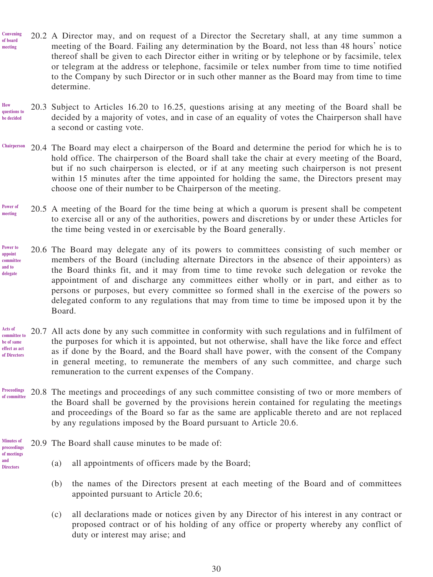- 20.2 A Director may, and on request of a Director the Secretary shall, at any time summon a meeting of the Board. Failing any determination by the Board, not less than 48 hours' notice thereof shall be given to each Director either in writing or by telephone or by facsimile, telex or telegram at the address or telephone, facsimile or telex number from time to time notified to the Company by such Director or in such other manner as the Board may from time to time determine. **Convening of board meeting**
- 20.3 Subject to Articles 16.20 to 16.25, questions arising at any meeting of the Board shall be decided by a majority of votes, and in case of an equality of votes the Chairperson shall have a second or casting vote. **How questions to be decided**
- 20.4 The Board may elect a chairperson of the Board and determine the period for which he is to hold office. The chairperson of the Board shall take the chair at every meeting of the Board, but if no such chairperson is elected, or if at any meeting such chairperson is not present within 15 minutes after the time appointed for holding the same, the Directors present may choose one of their number to be Chairperson of the meeting. **Chairperson**
- 20.5 A meeting of the Board for the time being at which a quorum is present shall be competent to exercise all or any of the authorities, powers and discretions by or under these Articles for the time being vested in or exercisable by the Board generally. **Power of meeting**
- 20.6 The Board may delegate any of its powers to committees consisting of such member or members of the Board (including alternate Directors in the absence of their appointers) as the Board thinks fit, and it may from time to time revoke such delegation or revoke the appointment of and discharge any committees either wholly or in part, and either as to persons or purposes, but every committee so formed shall in the exercise of the powers so delegated conform to any regulations that may from time to time be imposed upon it by the Board. **Power to appoint committee and to delegate**
- 20.7 All acts done by any such committee in conformity with such regulations and in fulfilment of the purposes for which it is appointed, but not otherwise, shall have the like force and effect as if done by the Board, and the Board shall have power, with the consent of the Company in general meeting, to remunerate the members of any such committee, and charge such remuneration to the current expenses of the Company. **Acts of committee to be of same effect as act of Directors**
- 20.8 The meetings and proceedings of any such committee consisting of two or more members of the Board shall be governed by the provisions herein contained for regulating the meetings and proceedings of the Board so far as the same are applicable thereto and are not replaced by any regulations imposed by the Board pursuant to Article 20.6. **Proceedings of committee**

20.9 The Board shall cause minutes to be made of: **Minutes of proceedings** 

**of meetings and Directors**

- (a) all appointments of officers made by the Board;
- (b) the names of the Directors present at each meeting of the Board and of committees appointed pursuant to Article 20.6;
- (c) all declarations made or notices given by any Director of his interest in any contract or proposed contract or of his holding of any office or property whereby any conflict of duty or interest may arise; and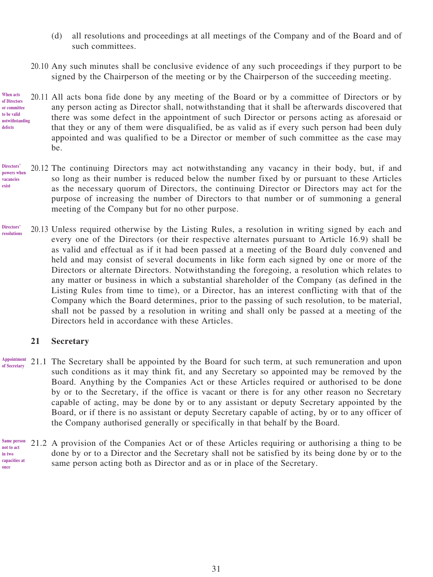- (d) all resolutions and proceedings at all meetings of the Company and of the Board and of such committees.
- 20.10 Any such minutes shall be conclusive evidence of any such proceedings if they purport to be signed by the Chairperson of the meeting or by the Chairperson of the succeeding meeting.
- 20.11 All acts bona fide done by any meeting of the Board or by a committee of Directors or by any person acting as Director shall, notwithstanding that it shall be afterwards discovered that there was some defect in the appointment of such Director or persons acting as aforesaid or that they or any of them were disqualified, be as valid as if every such person had been duly appointed and was qualified to be a Director or member of such committee as the case may be. **When acts**
- 20.12 The continuing Directors may act notwithstanding any vacancy in their body, but, if and so long as their number is reduced below the number fixed by or pursuant to these Articles as the necessary quorum of Directors, the continuing Director or Directors may act for the purpose of increasing the number of Directors to that number or of summoning a general meeting of the Company but for no other purpose. **Directors' powers when vacancies exist**
- 20.13 Unless required otherwise by the Listing Rules, a resolution in writing signed by each and every one of the Directors (or their respective alternates pursuant to Article 16.9) shall be as valid and effectual as if it had been passed at a meeting of the Board duly convened and held and may consist of several documents in like form each signed by one or more of the Directors or alternate Directors. Notwithstanding the foregoing, a resolution which relates to any matter or business in which a substantial shareholder of the Company (as defined in the Listing Rules from time to time), or a Director, has an interest conflicting with that of the Company which the Board determines, prior to the passing of such resolution, to be material, shall not be passed by a resolution in writing and shall only be passed at a meeting of the Directors held in accordance with these Articles. **Directors' resolutions**

# **21 Secretary**

- 21.1 The Secretary shall be appointed by the Board for such term, at such remuneration and upon such conditions as it may think fit, and any Secretary so appointed may be removed by the Board. Anything by the Companies Act or these Articles required or authorised to be done by or to the Secretary, if the office is vacant or there is for any other reason no Secretary capable of acting, may be done by or to any assistant or deputy Secretary appointed by the Board, or if there is no assistant or deputy Secretary capable of acting, by or to any officer of the Company authorised generally or specifically in that behalf by the Board. **Appointment of Secretary**
- 21.2 A provision of the Companies Act or of these Articles requiring or authorising a thing to be done by or to a Director and the Secretary shall not be satisfied by its being done by or to the same person acting both as Director and as or in place of the Secretary. **Same person not to act in two capacities at once**

**of Directors or committee to be valid notwithstanding defects**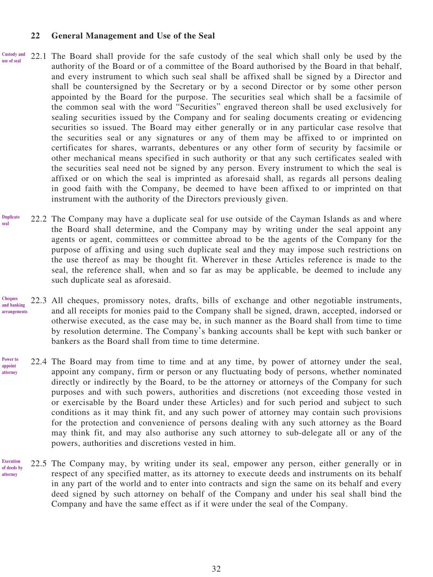#### **22 General Management and Use of the Seal**

- 22.1 The Board shall provide for the safe custody of the seal which shall only be used by the authority of the Board or of a committee of the Board authorised by the Board in that behalf, and every instrument to which such seal shall be affixed shall be signed by a Director and shall be countersigned by the Secretary or by a second Director or by some other person appointed by the Board for the purpose. The securities seal which shall be a facsimile of the common seal with the word "Securities" engraved thereon shall be used exclusively for sealing securities issued by the Company and for sealing documents creating or evidencing securities so issued. The Board may either generally or in any particular case resolve that the securities seal or any signatures or any of them may be affixed to or imprinted on certificates for shares, warrants, debentures or any other form of security by facsimile or other mechanical means specified in such authority or that any such certificates sealed with the securities seal need not be signed by any person. Every instrument to which the seal is affixed or on which the seal is imprinted as aforesaid shall, as regards all persons dealing in good faith with the Company, be deemed to have been affixed to or imprinted on that instrument with the authority of the Directors previously given. **Custody and use of seal**
- 22.2 The Company may have a duplicate seal for use outside of the Cayman Islands as and where the Board shall determine, and the Company may by writing under the seal appoint any agents or agent, committees or committee abroad to be the agents of the Company for the purpose of affixing and using such duplicate seal and they may impose such restrictions on the use thereof as may be thought fit. Wherever in these Articles reference is made to the seal, the reference shall, when and so far as may be applicable, be deemed to include any such duplicate seal as aforesaid. **Duplicate seal**
- 22.3 All cheques, promissory notes, drafts, bills of exchange and other negotiable instruments, and all receipts for monies paid to the Company shall be signed, drawn, accepted, indorsed or otherwise executed, as the case may be, in such manner as the Board shall from time to time by resolution determine. The Company's banking accounts shall be kept with such banker or bankers as the Board shall from time to time determine. **Cheques and banking arrangements**
- 22.4 The Board may from time to time and at any time, by power of attorney under the seal, appoint any company, firm or person or any fluctuating body of persons, whether nominated directly or indirectly by the Board, to be the attorney or attorneys of the Company for such purposes and with such powers, authorities and discretions (not exceeding those vested in or exercisable by the Board under these Articles) and for such period and subject to such conditions as it may think fit, and any such power of attorney may contain such provisions for the protection and convenience of persons dealing with any such attorney as the Board may think fit, and may also authorise any such attorney to sub-delegate all or any of the powers, authorities and discretions vested in him. **Power to appoint attorney**
- 22.5 The Company may, by writing under its seal, empower any person, either generally or in respect of any specified matter, as its attorney to execute deeds and instruments on its behalf in any part of the world and to enter into contracts and sign the same on its behalf and every deed signed by such attorney on behalf of the Company and under his seal shall bind the Company and have the same effect as if it were under the seal of the Company. **Execution of deeds by attorney**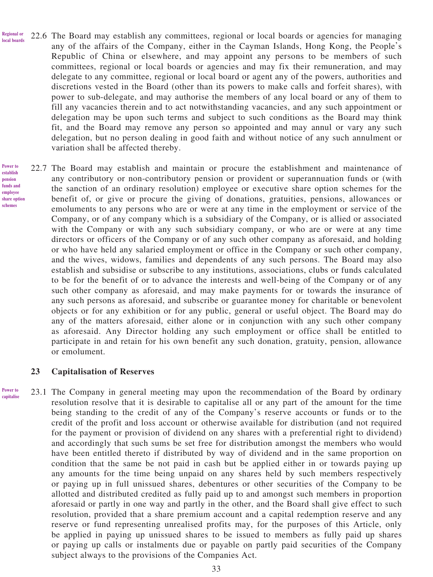- 22.6 The Board may establish any committees, regional or local boards or agencies for managing any of the affairs of the Company, either in the Cayman Islands, Hong Kong, the People's Republic of China or elsewhere, and may appoint any persons to be members of such committees, regional or local boards or agencies and may fix their remuneration, and may delegate to any committee, regional or local board or agent any of the powers, authorities and discretions vested in the Board (other than its powers to make calls and forfeit shares), with power to sub-delegate, and may authorise the members of any local board or any of them to fill any vacancies therein and to act notwithstanding vacancies, and any such appointment or delegation may be upon such terms and subject to such conditions as the Board may think fit, and the Board may remove any person so appointed and may annul or vary any such delegation, but no person dealing in good faith and without notice of any such annulment or variation shall be affected thereby. **Regional or local boards**
- 22.7 The Board may establish and maintain or procure the establishment and maintenance of any contributory or non-contributory pension or provident or superannuation funds or (with the sanction of an ordinary resolution) employee or executive share option schemes for the benefit of, or give or procure the giving of donations, gratuities, pensions, allowances or emoluments to any persons who are or were at any time in the employment or service of the Company, or of any company which is a subsidiary of the Company, or is allied or associated with the Company or with any such subsidiary company, or who are or were at any time directors or officers of the Company or of any such other company as aforesaid, and holding or who have held any salaried employment or office in the Company or such other company, and the wives, widows, families and dependents of any such persons. The Board may also establish and subsidise or subscribe to any institutions, associations, clubs or funds calculated to be for the benefit of or to advance the interests and well-being of the Company or of any such other company as aforesaid, and may make payments for or towards the insurance of any such persons as aforesaid, and subscribe or guarantee money for charitable or benevolent objects or for any exhibition or for any public, general or useful object. The Board may do any of the matters aforesaid, either alone or in conjunction with any such other company as aforesaid. Any Director holding any such employment or office shall be entitled to participate in and retain for his own benefit any such donation, gratuity, pension, allowance or emolument. **Power to schemes**

#### **23 Capitalisation of Reserves**

23.1 The Company in general meeting may upon the recommendation of the Board by ordinary resolution resolve that it is desirable to capitalise all or any part of the amount for the time being standing to the credit of any of the Company's reserve accounts or funds or to the credit of the profit and loss account or otherwise available for distribution (and not required for the payment or provision of dividend on any shares with a preferential right to dividend) and accordingly that such sums be set free for distribution amongst the members who would have been entitled thereto if distributed by way of dividend and in the same proportion on condition that the same be not paid in cash but be applied either in or towards paying up any amounts for the time being unpaid on any shares held by such members respectively or paying up in full unissued shares, debentures or other securities of the Company to be allotted and distributed credited as fully paid up to and amongst such members in proportion aforesaid or partly in one way and partly in the other, and the Board shall give effect to such resolution, provided that a share premium account and a capital redemption reserve and any reserve or fund representing unrealised profits may, for the purposes of this Article, only be applied in paying up unissued shares to be issued to members as fully paid up shares or paying up calls or instalments due or payable on partly paid securities of the Company subject always to the provisions of the Companies Act. **Power to capitalise**

**establish pension funds and employee share option**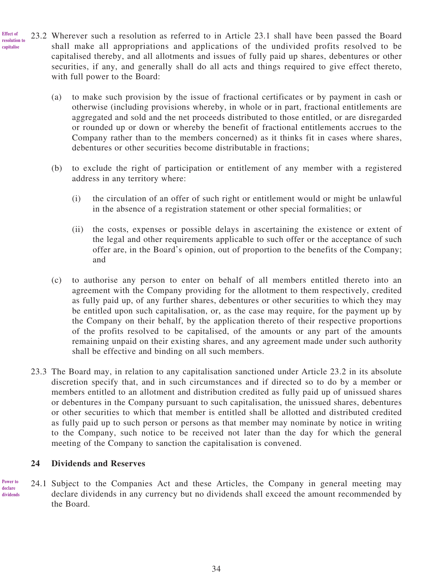- 23.2 Wherever such a resolution as referred to in Article 23.1 shall have been passed the Board shall make all appropriations and applications of the undivided profits resolved to be capitalised thereby, and all allotments and issues of fully paid up shares, debentures or other securities, if any, and generally shall do all acts and things required to give effect thereto, with full power to the Board: **Effect of resolution to capitalise**
	- (a) to make such provision by the issue of fractional certificates or by payment in cash or otherwise (including provisions whereby, in whole or in part, fractional entitlements are aggregated and sold and the net proceeds distributed to those entitled, or are disregarded or rounded up or down or whereby the benefit of fractional entitlements accrues to the Company rather than to the members concerned) as it thinks fit in cases where shares, debentures or other securities become distributable in fractions;
	- (b) to exclude the right of participation or entitlement of any member with a registered address in any territory where:
		- (i) the circulation of an offer of such right or entitlement would or might be unlawful in the absence of a registration statement or other special formalities; or
		- (ii) the costs, expenses or possible delays in ascertaining the existence or extent of the legal and other requirements applicable to such offer or the acceptance of such offer are, in the Board's opinion, out of proportion to the benefits of the Company; and
	- (c) to authorise any person to enter on behalf of all members entitled thereto into an agreement with the Company providing for the allotment to them respectively, credited as fully paid up, of any further shares, debentures or other securities to which they may be entitled upon such capitalisation, or, as the case may require, for the payment up by the Company on their behalf, by the application thereto of their respective proportions of the profits resolved to be capitalised, of the amounts or any part of the amounts remaining unpaid on their existing shares, and any agreement made under such authority shall be effective and binding on all such members.
	- 23.3 The Board may, in relation to any capitalisation sanctioned under Article 23.2 in its absolute discretion specify that, and in such circumstances and if directed so to do by a member or members entitled to an allotment and distribution credited as fully paid up of unissued shares or debentures in the Company pursuant to such capitalisation, the unissued shares, debentures or other securities to which that member is entitled shall be allotted and distributed credited as fully paid up to such person or persons as that member may nominate by notice in writing to the Company, such notice to be received not later than the day for which the general meeting of the Company to sanction the capitalisation is convened.

# **24 Dividends and Reserves**

24.1 Subject to the Companies Act and these Articles, the Company in general meeting may declare dividends in any currency but no dividends shall exceed the amount recommended by the Board. **Power to declare dividends**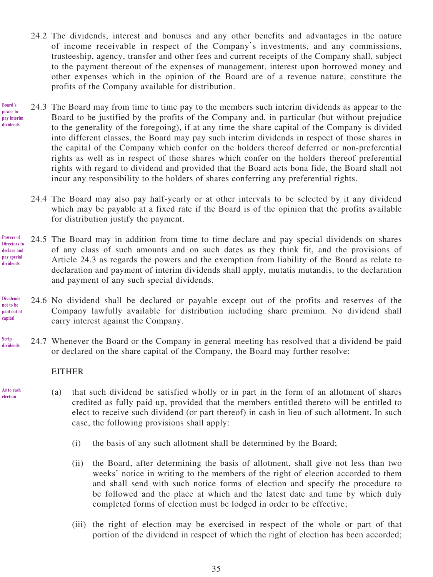- 24.2 The dividends, interest and bonuses and any other benefits and advantages in the nature of income receivable in respect of the Company's investments, and any commissions, trusteeship, agency, transfer and other fees and current receipts of the Company shall, subject to the payment thereout of the expenses of management, interest upon borrowed money and other expenses which in the opinion of the Board are of a revenue nature, constitute the profits of the Company available for distribution.
- 24.3 The Board may from time to time pay to the members such interim dividends as appear to the Board to be justified by the profits of the Company and, in particular (but without prejudice to the generality of the foregoing), if at any time the share capital of the Company is divided into different classes, the Board may pay such interim dividends in respect of those shares in the capital of the Company which confer on the holders thereof deferred or non-preferential rights as well as in respect of those shares which confer on the holders thereof preferential rights with regard to dividend and provided that the Board acts bona fide, the Board shall not incur any responsibility to the holders of shares conferring any preferential rights. **Board's power to pay interim dividends**
	- 24.4 The Board may also pay half-yearly or at other intervals to be selected by it any dividend which may be payable at a fixed rate if the Board is of the opinion that the profits available for distribution justify the payment.
- 24.5 The Board may in addition from time to time declare and pay special dividends on shares of any class of such amounts and on such dates as they think fit, and the provisions of Article 24.3 as regards the powers and the exemption from liability of the Board as relate to declaration and payment of interim dividends shall apply, mutatis mutandis, to the declaration and payment of any such special dividends. **Powers of Directors to declare and pay special dividends**
- 24.6 No dividend shall be declared or payable except out of the profits and reserves of the Company lawfully available for distribution including share premium. No dividend shall carry interest against the Company. **Dividends not to be paid out of capital**
- 24.7 Whenever the Board or the Company in general meeting has resolved that a dividend be paid or declared on the share capital of the Company, the Board may further resolve: **Scrip dividends**

# EITHER

**As to cash election**

- (a) that such dividend be satisfied wholly or in part in the form of an allotment of shares credited as fully paid up, provided that the members entitled thereto will be entitled to elect to receive such dividend (or part thereof) in cash in lieu of such allotment. In such case, the following provisions shall apply:
	- (i) the basis of any such allotment shall be determined by the Board;
	- (ii) the Board, after determining the basis of allotment, shall give not less than two weeks' notice in writing to the members of the right of election accorded to them and shall send with such notice forms of election and specify the procedure to be followed and the place at which and the latest date and time by which duly completed forms of election must be lodged in order to be effective;
	- (iii) the right of election may be exercised in respect of the whole or part of that portion of the dividend in respect of which the right of election has been accorded;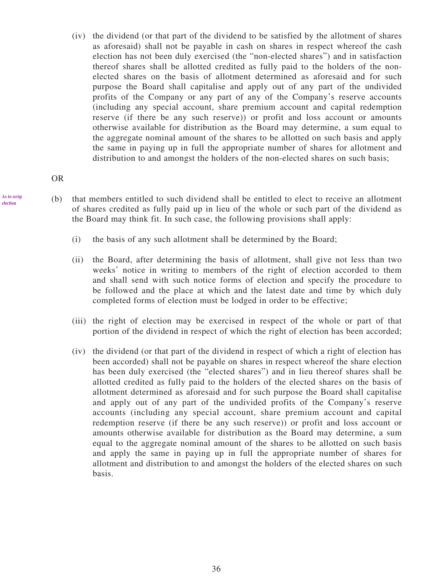(iv) the dividend (or that part of the dividend to be satisfied by the allotment of shares as aforesaid) shall not be payable in cash on shares in respect whereof the cash election has not been duly exercised (the "non-elected shares") and in satisfaction thereof shares shall be allotted credited as fully paid to the holders of the nonelected shares on the basis of allotment determined as aforesaid and for such purpose the Board shall capitalise and apply out of any part of the undivided profits of the Company or any part of any of the Company's reserve accounts (including any special account, share premium account and capital redemption reserve (if there be any such reserve)) or profit and loss account or amounts otherwise available for distribution as the Board may determine, a sum equal to the aggregate nominal amount of the shares to be allotted on such basis and apply the same in paying up in full the appropriate number of shares for allotment and distribution to and amongst the holders of the non-elected shares on such basis;

OR

- (b) that members entitled to such dividend shall be entitled to elect to receive an allotment of shares credited as fully paid up in lieu of the whole or such part of the dividend as the Board may think fit. In such case, the following provisions shall apply:
	- (i) the basis of any such allotment shall be determined by the Board;
	- (ii) the Board, after determining the basis of allotment, shall give not less than two weeks' notice in writing to members of the right of election accorded to them and shall send with such notice forms of election and specify the procedure to be followed and the place at which and the latest date and time by which duly completed forms of election must be lodged in order to be effective;
	- (iii) the right of election may be exercised in respect of the whole or part of that portion of the dividend in respect of which the right of election has been accorded;
	- (iv) the dividend (or that part of the dividend in respect of which a right of election has been accorded) shall not be payable on shares in respect whereof the share election has been duly exercised (the "elected shares") and in lieu thereof shares shall be allotted credited as fully paid to the holders of the elected shares on the basis of allotment determined as aforesaid and for such purpose the Board shall capitalise and apply out of any part of the undivided profits of the Company's reserve accounts (including any special account, share premium account and capital redemption reserve (if there be any such reserve)) or profit and loss account or amounts otherwise available for distribution as the Board may determine, a sum equal to the aggregate nominal amount of the shares to be allotted on such basis and apply the same in paying up in full the appropriate number of shares for allotment and distribution to and amongst the holders of the elected shares on such basis.

**As to scrip election**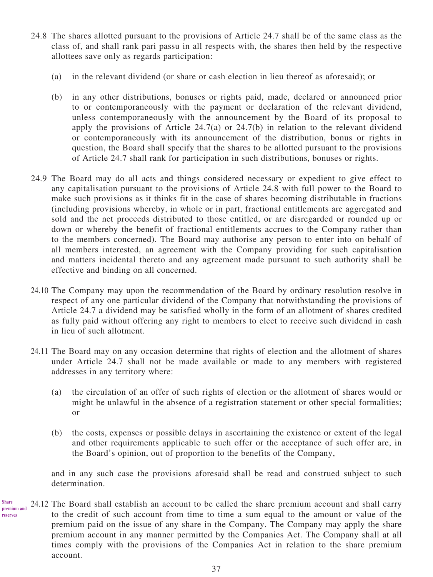- 24.8 The shares allotted pursuant to the provisions of Article 24.7 shall be of the same class as the class of, and shall rank pari passu in all respects with, the shares then held by the respective allottees save only as regards participation:
	- (a) in the relevant dividend (or share or cash election in lieu thereof as aforesaid); or
	- (b) in any other distributions, bonuses or rights paid, made, declared or announced prior to or contemporaneously with the payment or declaration of the relevant dividend, unless contemporaneously with the announcement by the Board of its proposal to apply the provisions of Article 24.7(a) or 24.7(b) in relation to the relevant dividend or contemporaneously with its announcement of the distribution, bonus or rights in question, the Board shall specify that the shares to be allotted pursuant to the provisions of Article 24.7 shall rank for participation in such distributions, bonuses or rights.
- 24.9 The Board may do all acts and things considered necessary or expedient to give effect to any capitalisation pursuant to the provisions of Article 24.8 with full power to the Board to make such provisions as it thinks fit in the case of shares becoming distributable in fractions (including provisions whereby, in whole or in part, fractional entitlements are aggregated and sold and the net proceeds distributed to those entitled, or are disregarded or rounded up or down or whereby the benefit of fractional entitlements accrues to the Company rather than to the members concerned). The Board may authorise any person to enter into on behalf of all members interested, an agreement with the Company providing for such capitalisation and matters incidental thereto and any agreement made pursuant to such authority shall be effective and binding on all concerned.
- 24.10 The Company may upon the recommendation of the Board by ordinary resolution resolve in respect of any one particular dividend of the Company that notwithstanding the provisions of Article 24.7 a dividend may be satisfied wholly in the form of an allotment of shares credited as fully paid without offering any right to members to elect to receive such dividend in cash in lieu of such allotment.
- 24.11 The Board may on any occasion determine that rights of election and the allotment of shares under Article 24.7 shall not be made available or made to any members with registered addresses in any territory where:
	- (a) the circulation of an offer of such rights of election or the allotment of shares would or might be unlawful in the absence of a registration statement or other special formalities; or
	- (b) the costs, expenses or possible delays in ascertaining the existence or extent of the legal and other requirements applicable to such offer or the acceptance of such offer are, in the Board's opinion, out of proportion to the benefits of the Company,

and in any such case the provisions aforesaid shall be read and construed subject to such determination.

24.12 The Board shall establish an account to be called the share premium account and shall carry to the credit of such account from time to time a sum equal to the amount or value of the premium paid on the issue of any share in the Company. The Company may apply the share premium account in any manner permitted by the Companies Act. The Company shall at all times comply with the provisions of the Companies Act in relation to the share premium account. **Share premium and reserves**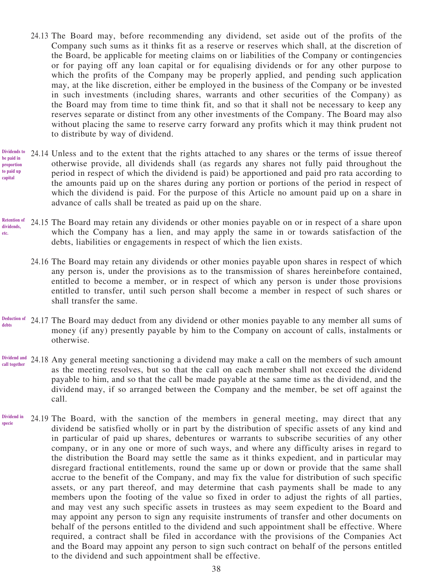- 24.13 The Board may, before recommending any dividend, set aside out of the profits of the Company such sums as it thinks fit as a reserve or reserves which shall, at the discretion of the Board, be applicable for meeting claims on or liabilities of the Company or contingencies or for paying off any loan capital or for equalising dividends or for any other purpose to which the profits of the Company may be properly applied, and pending such application may, at the like discretion, either be employed in the business of the Company or be invested in such investments (including shares, warrants and other securities of the Company) as the Board may from time to time think fit, and so that it shall not be necessary to keep any reserves separate or distinct from any other investments of the Company. The Board may also without placing the same to reserve carry forward any profits which it may think prudent not to distribute by way of dividend.
- 24.14 Unless and to the extent that the rights attached to any shares or the terms of issue thereof otherwise provide, all dividends shall (as regards any shares not fully paid throughout the period in respect of which the dividend is paid) be apportioned and paid pro rata according to the amounts paid up on the shares during any portion or portions of the period in respect of which the dividend is paid. For the purpose of this Article no amount paid up on a share in advance of calls shall be treated as paid up on the share. **Dividends to be paid in proportion to paid up capital**
- 24.15 The Board may retain any dividends or other monies payable on or in respect of a share upon which the Company has a lien, and may apply the same in or towards satisfaction of the debts, liabilities or engagements in respect of which the lien exists. **Retention of dividends, etc.**
	- 24.16 The Board may retain any dividends or other monies payable upon shares in respect of which any person is, under the provisions as to the transmission of shares hereinbefore contained, entitled to become a member, or in respect of which any person is under those provisions entitled to transfer, until such person shall become a member in respect of such shares or shall transfer the same.
- 24.17 The Board may deduct from any dividend or other monies payable to any member all sums of **Deduction of**  money (if any) presently payable by him to the Company on account of calls, instalments or otherwise. **debts**
- 24.18 Any general meeting sanctioning a dividend may make a call on the members of such amount as the meeting resolves, but so that the call on each member shall not exceed the dividend payable to him, and so that the call be made payable at the same time as the dividend, and the dividend may, if so arranged between the Company and the member, be set off against the call. **Dividend and call together**
- 24.19 The Board, with the sanction of the members in general meeting, may direct that any dividend be satisfied wholly or in part by the distribution of specific assets of any kind and in particular of paid up shares, debentures or warrants to subscribe securities of any other company, or in any one or more of such ways, and where any difficulty arises in regard to the distribution the Board may settle the same as it thinks expedient, and in particular may disregard fractional entitlements, round the same up or down or provide that the same shall accrue to the benefit of the Company, and may fix the value for distribution of such specific assets, or any part thereof, and may determine that cash payments shall be made to any members upon the footing of the value so fixed in order to adjust the rights of all parties, and may vest any such specific assets in trustees as may seem expedient to the Board and may appoint any person to sign any requisite instruments of transfer and other documents on behalf of the persons entitled to the dividend and such appointment shall be effective. Where required, a contract shall be filed in accordance with the provisions of the Companies Act and the Board may appoint any person to sign such contract on behalf of the persons entitled to the dividend and such appointment shall be effective. **Dividend in specie**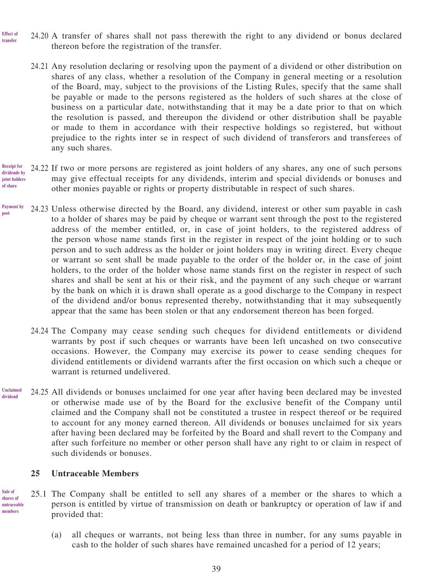- 24.20 A transfer of shares shall not pass therewith the right to any dividend or bonus declared thereon before the registration of the transfer. **Effect of transfer**
	- 24.21 Any resolution declaring or resolving upon the payment of a dividend or other distribution on shares of any class, whether a resolution of the Company in general meeting or a resolution of the Board, may, subject to the provisions of the Listing Rules, specify that the same shall be payable or made to the persons registered as the holders of such shares at the close of business on a particular date, notwithstanding that it may be a date prior to that on which the resolution is passed, and thereupon the dividend or other distribution shall be payable or made to them in accordance with their respective holdings so registered, but without prejudice to the rights inter se in respect of such dividend of transferors and transferees of any such shares.
- 24.22 If two or more persons are registered as joint holders of any shares, any one of such persons may give effectual receipts for any dividends, interim and special dividends or bonuses and other monies payable or rights or property distributable in respect of such shares. **Receipt for dividends by joint holders of share**
- 24.23 Unless otherwise directed by the Board, any dividend, interest or other sum payable in cash to a holder of shares may be paid by cheque or warrant sent through the post to the registered address of the member entitled, or, in case of joint holders, to the registered address of the person whose name stands first in the register in respect of the joint holding or to such person and to such address as the holder or joint holders may in writing direct. Every cheque or warrant so sent shall be made payable to the order of the holder or, in the case of joint holders, to the order of the holder whose name stands first on the register in respect of such shares and shall be sent at his or their risk, and the payment of any such cheque or warrant by the bank on which it is drawn shall operate as a good discharge to the Company in respect of the dividend and/or bonus represented thereby, notwithstanding that it may subsequently appear that the same has been stolen or that any endorsement thereon has been forged. **Payment by post**
	- 24.24 The Company may cease sending such cheques for dividend entitlements or dividend warrants by post if such cheques or warrants have been left uncashed on two consecutive occasions. However, the Company may exercise its power to cease sending cheques for dividend entitlements or dividend warrants after the first occasion on which such a cheque or warrant is returned undelivered.
- 24.25 All dividends or bonuses unclaimed for one year after having been declared may be invested or otherwise made use of by the Board for the exclusive benefit of the Company until claimed and the Company shall not be constituted a trustee in respect thereof or be required to account for any money earned thereon. All dividends or bonuses unclaimed for six years after having been declared may be forfeited by the Board and shall revert to the Company and after such forfeiture no member or other person shall have any right to or claim in respect of such dividends or bonuses. **Unclaimed dividend**

#### **25 Untraceable Members**

- 25.1 The Company shall be entitled to sell any shares of a member or the shares to which a person is entitled by virtue of transmission on death or bankruptcy or operation of law if and provided that: **Sale of shares of untraceable members**
	- (a) all cheques or warrants, not being less than three in number, for any sums payable in cash to the holder of such shares have remained uncashed for a period of 12 years;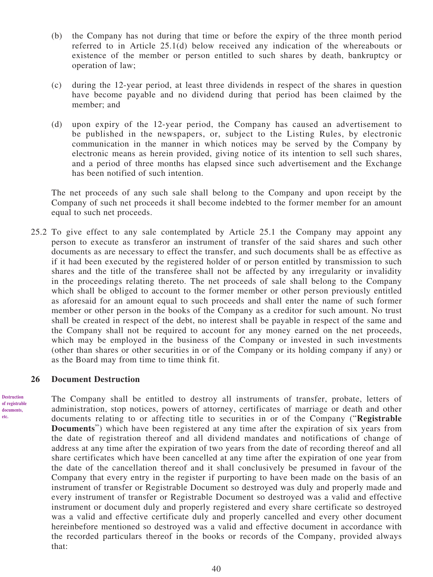- (b) the Company has not during that time or before the expiry of the three month period referred to in Article 25.1(d) below received any indication of the whereabouts or existence of the member or person entitled to such shares by death, bankruptcy or operation of law;
- (c) during the 12-year period, at least three dividends in respect of the shares in question have become payable and no dividend during that period has been claimed by the member; and
- (d) upon expiry of the 12-year period, the Company has caused an advertisement to be published in the newspapers, or, subject to the Listing Rules, by electronic communication in the manner in which notices may be served by the Company by electronic means as herein provided, giving notice of its intention to sell such shares, and a period of three months has elapsed since such advertisement and the Exchange has been notified of such intention.

The net proceeds of any such sale shall belong to the Company and upon receipt by the Company of such net proceeds it shall become indebted to the former member for an amount equal to such net proceeds.

25.2 To give effect to any sale contemplated by Article 25.1 the Company may appoint any person to execute as transferor an instrument of transfer of the said shares and such other documents as are necessary to effect the transfer, and such documents shall be as effective as if it had been executed by the registered holder of or person entitled by transmission to such shares and the title of the transferee shall not be affected by any irregularity or invalidity in the proceedings relating thereto. The net proceeds of sale shall belong to the Company which shall be obliged to account to the former member or other person previously entitled as aforesaid for an amount equal to such proceeds and shall enter the name of such former member or other person in the books of the Company as a creditor for such amount. No trust shall be created in respect of the debt, no interest shall be payable in respect of the same and the Company shall not be required to account for any money earned on the net proceeds, which may be employed in the business of the Company or invested in such investments (other than shares or other securities in or of the Company or its holding company if any) or as the Board may from time to time think fit.

#### **26 Document Destruction**

The Company shall be entitled to destroy all instruments of transfer, probate, letters of administration, stop notices, powers of attorney, certificates of marriage or death and other documents relating to or affecting title to securities in or of the Company ("**Registrable Documents**") which have been registered at any time after the expiration of six years from the date of registration thereof and all dividend mandates and notifications of change of address at any time after the expiration of two years from the date of recording thereof and all share certificates which have been cancelled at any time after the expiration of one year from the date of the cancellation thereof and it shall conclusively be presumed in favour of the Company that every entry in the register if purporting to have been made on the basis of an instrument of transfer or Registrable Document so destroyed was duly and properly made and every instrument of transfer or Registrable Document so destroyed was a valid and effective instrument or document duly and properly registered and every share certificate so destroyed was a valid and effective certificate duly and properly cancelled and every other document hereinbefore mentioned so destroyed was a valid and effective document in accordance with the recorded particulars thereof in the books or records of the Company, provided always that:

**Destruction of registrable documents, etc.**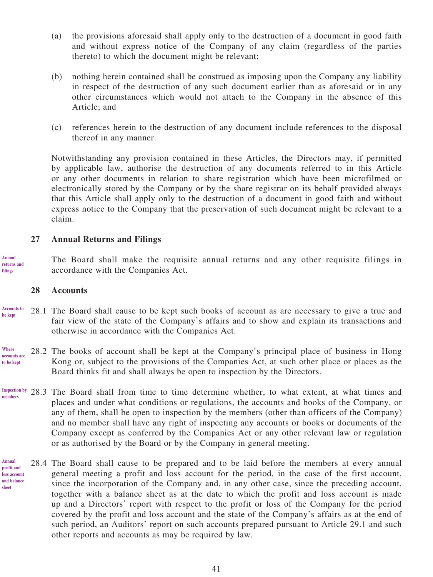- (a) the provisions aforesaid shall apply only to the destruction of a document in good faith and without express notice of the Company of any claim (regardless of the parties thereto) to which the document might be relevant;
- (b) nothing herein contained shall be construed as imposing upon the Company any liability in respect of the destruction of any such document earlier than as aforesaid or in any other circumstances which would not attach to the Company in the absence of this Article; and
- (c) references herein to the destruction of any document include references to the disposal thereof in any manner.

Notwithstanding any provision contained in these Articles, the Directors may, if permitted by applicable law, authorise the destruction of any documents referred to in this Article or any other documents in relation to share registration which have been microfilmed or electronically stored by the Company or by the share registrar on its behalf provided always that this Article shall apply only to the destruction of a document in good faith and without express notice to the Company that the preservation of such document might be relevant to a claim.

# **27 Annual Returns and Filings**

The Board shall make the requisite annual returns and any other requisite filings in accordance with the Companies Act. **Annual returns and filings**

#### **28 Accounts**

- 28.1 The Board shall cause to be kept such books of account as are necessary to give a true and fair view of the state of the Company's affairs and to show and explain its transactions and otherwise in accordance with the Companies Act. **Accounts to be kept**
- 28.2 The books of account shall be kept at the Company's principal place of business in Hong Kong or, subject to the provisions of the Companies Act, at such other place or places as the Board thinks fit and shall always be open to inspection by the Directors. **Where accounts are to be kept**
- 28.3 The Board shall from time to time determine whether, to what extent, at what times and places and under what conditions or regulations, the accounts and books of the Company, or any of them, shall be open to inspection by the members (other than officers of the Company) and no member shall have any right of inspecting any accounts or books or documents of the Company except as conferred by the Companies Act or any other relevant law or regulation or as authorised by the Board or by the Company in general meeting. **Inspection by members**
- 28.4 The Board shall cause to be prepared and to be laid before the members at every annual general meeting a profit and loss account for the period, in the case of the first account, since the incorporation of the Company and, in any other case, since the preceding account, together with a balance sheet as at the date to which the profit and loss account is made up and a Directors' report with respect to the profit or loss of the Company for the period covered by the profit and loss account and the state of the Company's affairs as at the end of such period, an Auditors' report on such accounts prepared pursuant to Article 29.1 and such other reports and accounts as may be required by law. **Annual profit and loss account and balance sheet**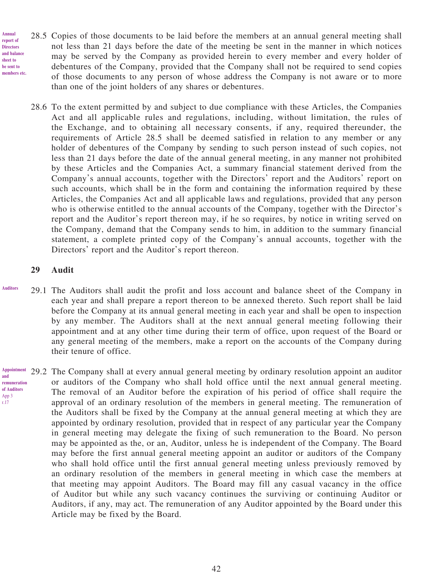- 28.5 Copies of those documents to be laid before the members at an annual general meeting shall not less than 21 days before the date of the meeting be sent in the manner in which notices may be served by the Company as provided herein to every member and every holder of debentures of the Company, provided that the Company shall not be required to send copies of those documents to any person of whose address the Company is not aware or to more than one of the joint holders of any shares or debentures. **report of Directors and balance be sent to members etc.**
	- 28.6 To the extent permitted by and subject to due compliance with these Articles, the Companies Act and all applicable rules and regulations, including, without limitation, the rules of the Exchange, and to obtaining all necessary consents, if any, required thereunder, the requirements of Article 28.5 shall be deemed satisfied in relation to any member or any holder of debentures of the Company by sending to such person instead of such copies, not less than 21 days before the date of the annual general meeting, in any manner not prohibited by these Articles and the Companies Act, a summary financial statement derived from the Company's annual accounts, together with the Directors' report and the Auditors' report on such accounts, which shall be in the form and containing the information required by these Articles, the Companies Act and all applicable laws and regulations, provided that any person who is otherwise entitled to the annual accounts of the Company, together with the Director's report and the Auditor's report thereon may, if he so requires, by notice in writing served on the Company, demand that the Company sends to him, in addition to the summary financial statement, a complete printed copy of the Company's annual accounts, together with the Directors' report and the Auditor's report thereon.

# **29 Audit**

**Annual** 

**sheet to** 

**Auditors**

- 29.1 The Auditors shall audit the profit and loss account and balance sheet of the Company in each year and shall prepare a report thereon to be annexed thereto. Such report shall be laid before the Company at its annual general meeting in each year and shall be open to inspection by any member. The Auditors shall at the next annual general meeting following their appointment and at any other time during their term of office, upon request of the Board or any general meeting of the members, make a report on the accounts of the Company during their tenure of office.
- 29.2 The Company shall at every annual general meeting by ordinary resolution appoint an auditor or auditors of the Company who shall hold office until the next annual general meeting. The removal of an Auditor before the expiration of his period of office shall require the approval of an ordinary resolution of the members in general meeting. The remuneration of the Auditors shall be fixed by the Company at the annual general meeting at which they are appointed by ordinary resolution, provided that in respect of any particular year the Company in general meeting may delegate the fixing of such remuneration to the Board. No person may be appointed as the, or an, Auditor, unless he is independent of the Company. The Board may before the first annual general meeting appoint an auditor or auditors of the Company who shall hold office until the first annual general meeting unless previously removed by an ordinary resolution of the members in general meeting in which case the members at that meeting may appoint Auditors. The Board may fill any casual vacancy in the office of Auditor but while any such vacancy continues the surviving or continuing Auditor or Auditors, if any, may act. The remuneration of any Auditor appointed by the Board under this Article may be fixed by the Board. **Appointment and remuneration of Auditors** App 3 r.17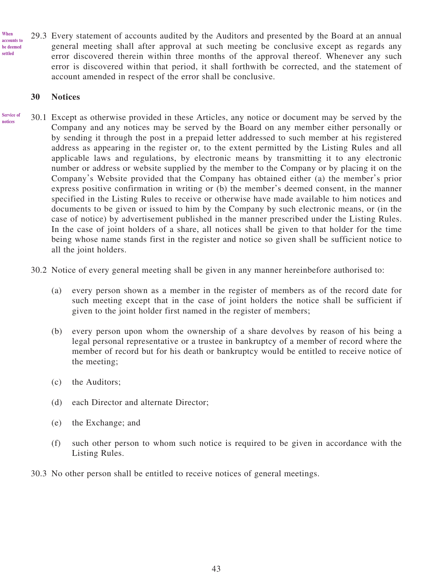29.3 Every statement of accounts audited by the Auditors and presented by the Board at an annual general meeting shall after approval at such meeting be conclusive except as regards any error discovered therein within three months of the approval thereof. Whenever any such error is discovered within that period, it shall forthwith be corrected, and the statement of account amended in respect of the error shall be conclusive. **When accounts to be deemed settled**

# **30 Notices**

- 30.1 Except as otherwise provided in these Articles, any notice or document may be served by the Company and any notices may be served by the Board on any member either personally or by sending it through the post in a prepaid letter addressed to such member at his registered address as appearing in the register or, to the extent permitted by the Listing Rules and all applicable laws and regulations, by electronic means by transmitting it to any electronic number or address or website supplied by the member to the Company or by placing it on the Company's Website provided that the Company has obtained either (a) the member's prior express positive confirmation in writing or (b) the member's deemed consent, in the manner specified in the Listing Rules to receive or otherwise have made available to him notices and documents to be given or issued to him by the Company by such electronic means, or (in the case of notice) by advertisement published in the manner prescribed under the Listing Rules. In the case of joint holders of a share, all notices shall be given to that holder for the time being whose name stands first in the register and notice so given shall be sufficient notice to all the joint holders. **Service of notices**
	- 30.2 Notice of every general meeting shall be given in any manner hereinbefore authorised to:
		- (a) every person shown as a member in the register of members as of the record date for such meeting except that in the case of joint holders the notice shall be sufficient if given to the joint holder first named in the register of members;
		- (b) every person upon whom the ownership of a share devolves by reason of his being a legal personal representative or a trustee in bankruptcy of a member of record where the member of record but for his death or bankruptcy would be entitled to receive notice of the meeting;
		- (c) the Auditors;
		- (d) each Director and alternate Director;
		- (e) the Exchange; and
		- (f) such other person to whom such notice is required to be given in accordance with the Listing Rules.
	- 30.3 No other person shall be entitled to receive notices of general meetings.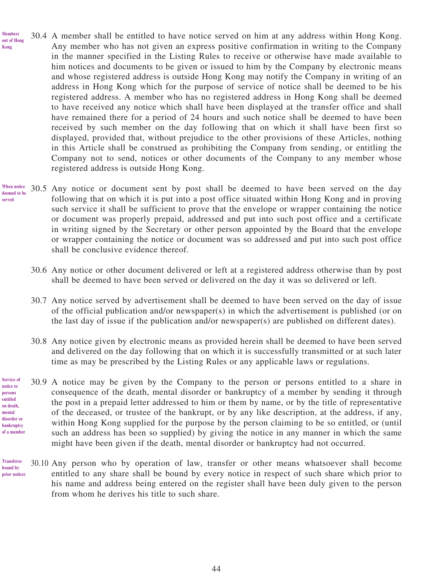- 30.4 A member shall be entitled to have notice served on him at any address within Hong Kong. Any member who has not given an express positive confirmation in writing to the Company in the manner specified in the Listing Rules to receive or otherwise have made available to him notices and documents to be given or issued to him by the Company by electronic means and whose registered address is outside Hong Kong may notify the Company in writing of an address in Hong Kong which for the purpose of service of notice shall be deemed to be his registered address. A member who has no registered address in Hong Kong shall be deemed to have received any notice which shall have been displayed at the transfer office and shall have remained there for a period of 24 hours and such notice shall be deemed to have been received by such member on the day following that on which it shall have been first so displayed, provided that, without prejudice to the other provisions of these Articles, nothing in this Article shall be construed as prohibiting the Company from sending, or entitling the Company not to send, notices or other documents of the Company to any member whose registered address is outside Hong Kong. **Members out of Hong Kong**
- 30.5 Any notice or document sent by post shall be deemed to have been served on the day following that on which it is put into a post office situated within Hong Kong and in proving such service it shall be sufficient to prove that the envelope or wrapper containing the notice or document was properly prepaid, addressed and put into such post office and a certificate in writing signed by the Secretary or other person appointed by the Board that the envelope or wrapper containing the notice or document was so addressed and put into such post office shall be conclusive evidence thereof. **When notice deemed to be served**
	- 30.6 Any notice or other document delivered or left at a registered address otherwise than by post shall be deemed to have been served or delivered on the day it was so delivered or left.
	- 30.7 Any notice served by advertisement shall be deemed to have been served on the day of issue of the official publication and/or newspaper(s) in which the advertisement is published (or on the last day of issue if the publication and/or newspaper(s) are published on different dates).
	- 30.8 Any notice given by electronic means as provided herein shall be deemed to have been served and delivered on the day following that on which it is successfully transmitted or at such later time as may be prescribed by the Listing Rules or any applicable laws or regulations.
- 30.9 A notice may be given by the Company to the person or persons entitled to a share in consequence of the death, mental disorder or bankruptcy of a member by sending it through the post in a prepaid letter addressed to him or them by name, or by the title of representative of the deceased, or trustee of the bankrupt, or by any like description, at the address, if any, within Hong Kong supplied for the purpose by the person claiming to be so entitled, or (until such an address has been so supplied) by giving the notice in any manner in which the same might have been given if the death, mental disorder or bankruptcy had not occurred. **Service of notice to persons entitled on death, mental disorder or bankruptcy of a member**
- 30.10 Any person who by operation of law, transfer or other means whatsoever shall become entitled to any share shall be bound by every notice in respect of such share which prior to his name and address being entered on the register shall have been duly given to the person from whom he derives his title to such share. **Transferee bound by prior notices**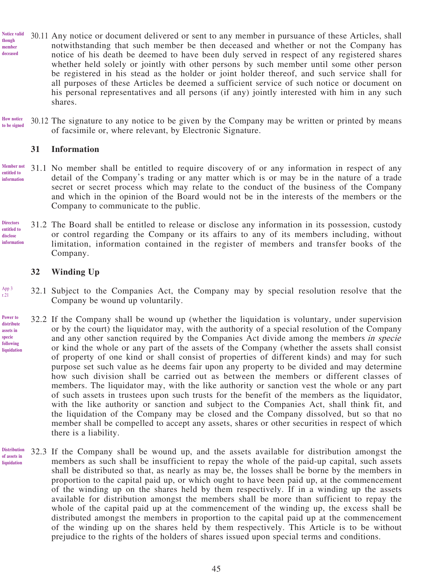- 30.11 Any notice or document delivered or sent to any member in pursuance of these Articles, shall notwithstanding that such member be then deceased and whether or not the Company has notice of his death be deemed to have been duly served in respect of any registered shares whether held solely or jointly with other persons by such member until some other person be registered in his stead as the holder or joint holder thereof, and such service shall for all purposes of these Articles be deemed a sufficient service of such notice or document on his personal representatives and all persons (if any) jointly interested with him in any such shares. **Notice valid though member deceased**
- 30.12 The signature to any notice to be given by the Company may be written or printed by means of facsimile or, where relevant, by Electronic Signature. **How notice to be signed**

#### **31 Information**

- 31.1 No member shall be entitled to require discovery of or any information in respect of any detail of the Company's trading or any matter which is or may be in the nature of a trade secret or secret process which may relate to the conduct of the business of the Company and which in the opinion of the Board would not be in the interests of the members or the Company to communicate to the public. **Member not entitled to information**
- 31.2 The Board shall be entitled to release or disclose any information in its possession, custody or control regarding the Company or its affairs to any of its members including, without limitation, information contained in the register of members and transfer books of the Company. **Directors entitled to disclose information**

#### **32 Winding Up**

App 3 r.21

- 32.1 Subject to the Companies Act, the Company may by special resolution resolve that the Company be wound up voluntarily.
- 32.2 If the Company shall be wound up (whether the liquidation is voluntary, under supervision or by the court) the liquidator may, with the authority of a special resolution of the Company and any other sanction required by the Companies Act divide among the members in specie or kind the whole or any part of the assets of the Company (whether the assets shall consist of property of one kind or shall consist of properties of different kinds) and may for such purpose set such value as he deems fair upon any property to be divided and may determine how such division shall be carried out as between the members or different classes of members. The liquidator may, with the like authority or sanction vest the whole or any part of such assets in trustees upon such trusts for the benefit of the members as the liquidator, with the like authority or sanction and subject to the Companies Act, shall think fit, and the liquidation of the Company may be closed and the Company dissolved, but so that no member shall be compelled to accept any assets, shares or other securities in respect of which there is a liability. **Power to distribute assets in specie following liquidation**
- 32.3 If the Company shall be wound up, and the assets available for distribution amongst the members as such shall be insufficient to repay the whole of the paid-up capital, such assets shall be distributed so that, as nearly as may be, the losses shall be borne by the members in proportion to the capital paid up, or which ought to have been paid up, at the commencement of the winding up on the shares held by them respectively. If in a winding up the assets available for distribution amongst the members shall be more than sufficient to repay the whole of the capital paid up at the commencement of the winding up, the excess shall be distributed amongst the members in proportion to the capital paid up at the commencement of the winding up on the shares held by them respectively. This Article is to be without prejudice to the rights of the holders of shares issued upon special terms and conditions. **Distribution of assets in liquidation**